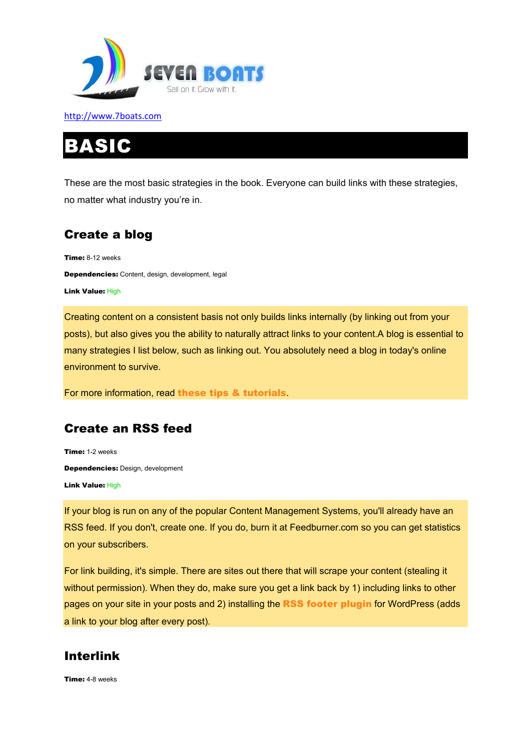

# IC

These are the most basic strategies in the book. Everyone can build links with these strategies, no matter what industry you're in.

# Create a blog

Time: 8-12 weeks Dependencies: Content, design, development, legal Link Value: High

Creating content on a consistent basis not only builds links internally (by linking out from your posts), but also gives you the ability to naturally attract links to your content.A blog is essential to many strategies I list below, such as linking out. You absolutely need a blog in today's online environment to survive.

For more information, read these tips & tutorials.

# Create an RSS feed

Time: 1-2 weeks Dependencies: Design, development Link Value: High

If your blog is run on any of the popular Content Management Systems, you'll already have an RSS feed. If you don't, create one. If you do, burn it at Feedburner.com so you can get statistics on your subscribers.

For link building, it's simple. There are sites out there that will scrape your content (stealing it without permission). When they do, make sure you get a link back by 1) including links to other pages on your site in your posts and 2) installing the RSS footer plugin for WordPress (adds a link to your blog after every post).

# Interlink

Time: 4-8 weeks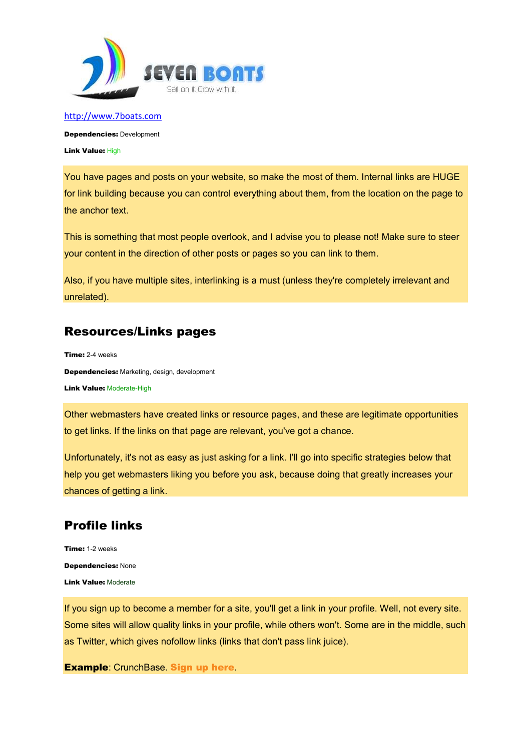

Dependencies: Development

Link Value: High

You have pages and posts on your website, so make the most of them. Internal links are HUGE for link building because you can control everything about them, from the location on the page to the anchor text.

This is something that most people overlook, and I advise you to please not! Make sure to steer your content in the direction of other posts or pages so you can link to them.

Also, if you have multiple sites, interlinking is a must (unless they're completely irrelevant and unrelated).

## Resources/Links pages

Time: 2-4 weeks Dependencies: Marketing, design, development **Link Value: Moderate-High** 

Other webmasters have created links or resource pages, and these are legitimate opportunities to get links. If the links on that page are relevant, you've got a chance.

Unfortunately, it's not as easy as just asking for a link. I'll go into specific strategies below that help you get webmasters liking you before you ask, because doing that greatly increases your chances of getting a link.

# Profile links

Time: 1-2 weeks Dependencies: None Link Value: Moderate

If you sign up to become a member for a site, you'll get a link in your profile. Well, not every site. Some sites will allow quality links in your profile, while others won't. Some are in the middle, such as Twitter, which gives nofollow links (links that don't pass link juice).

**Example: CrunchBase. Sign up here.**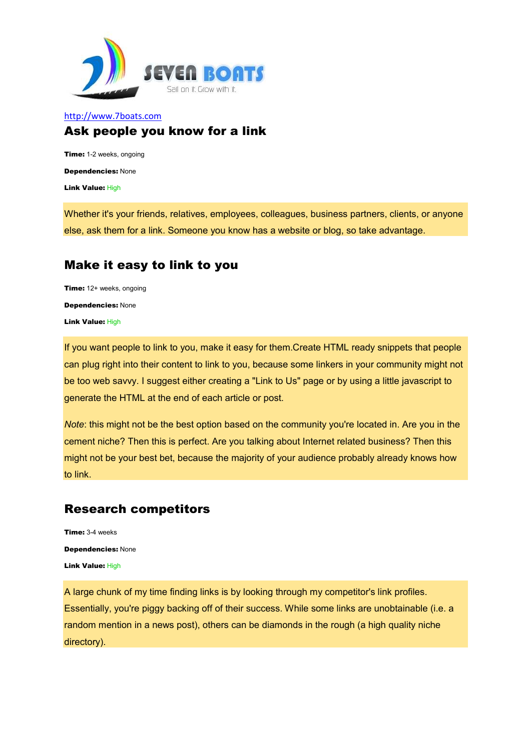

#### http://www.7boats.com Ask people you know for a link

Time: 1-2 weeks, ongoing Dependencies: None Link Value: High

Whether it's your friends, relatives, employees, colleagues, business partners, clients, or anyone else, ask them for a link. Someone you know has a website or blog, so take advantage.

# Make it easy to link to you

Time: 12+ weeks, ongoing Dependencies: None Link Value: High

If you want people to link to you, make it easy for them.Create HTML ready snippets that people can plug right into their content to link to you, because some linkers in your community might not be too web savvy. I suggest either creating a "Link to Us" page or by using a little javascript to generate the HTML at the end of each article or post.

*Note*: this might not be the best option based on the community you're located in. Are you in the cement niche? Then this is perfect. Are you talking about Internet related business? Then this might not be your best bet, because the majority of your audience probably already knows how to link.

# Research competitors

Time: 3-4 weeks Dependencies: None Link Value: High

A large chunk of my time finding links is by looking through my competitor's link profiles. Essentially, you're piggy backing off of their success. While some links are unobtainable (i.e. a random mention in a news post), others can be diamonds in the rough (a high quality niche directory).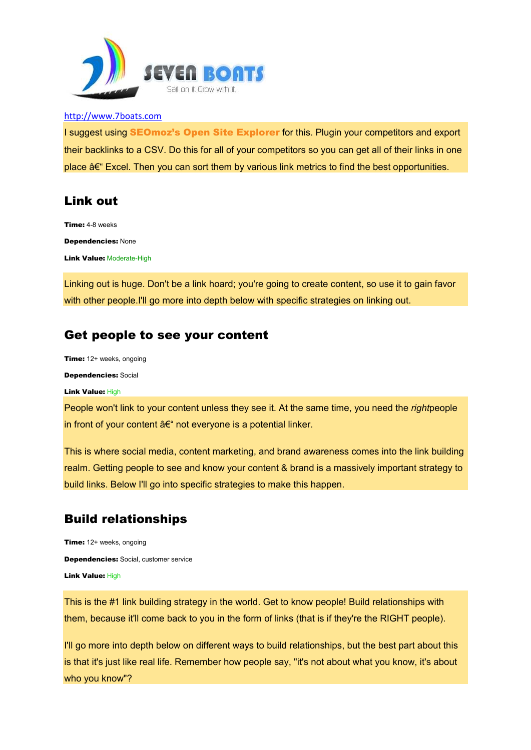

I suggest using SEOmoz's Open Site Explorer for this. Plugin your competitors and export their backlinks to a CSV. Do this for all of your competitors so you can get all of their links in one place  $\hat{\sigma} \in \mathbb{R}$  Excel. Then you can sort them by various link metrics to find the best opportunities.

#### Link out

Time: 4-8 weeks Dependencies: None **Link Value: Moderate-High** 

Linking out is huge. Don't be a link hoard; you're going to create content, so use it to gain favor with other people. I'll go more into depth below with specific strategies on linking out.

#### Get people to see your content

Time: 12+ weeks, ongoing Dependencies: Social

#### Link Value: High

People won't link to your content unless they see it. At the same time, you need the *right*people in front of your content  $a \in \mathcal{C}$  not everyone is a potential linker.

This is where social media, content marketing, and brand awareness comes into the link building realm. Getting people to see and know your content & brand is a massively important strategy to build links. Below I'll go into specific strategies to make this happen.

## Build relationships

Time: 12+ weeks, ongoing Dependencies: Social, customer service Link Value: High

This is the #1 link building strategy in the world. Get to know people! Build relationships with them, because it'll come back to you in the form of links (that is if they're the RIGHT people).

I'll go more into depth below on different ways to build relationships, but the best part about this is that it's just like real life. Remember how people say, "it's not about what you know, it's about who you know"?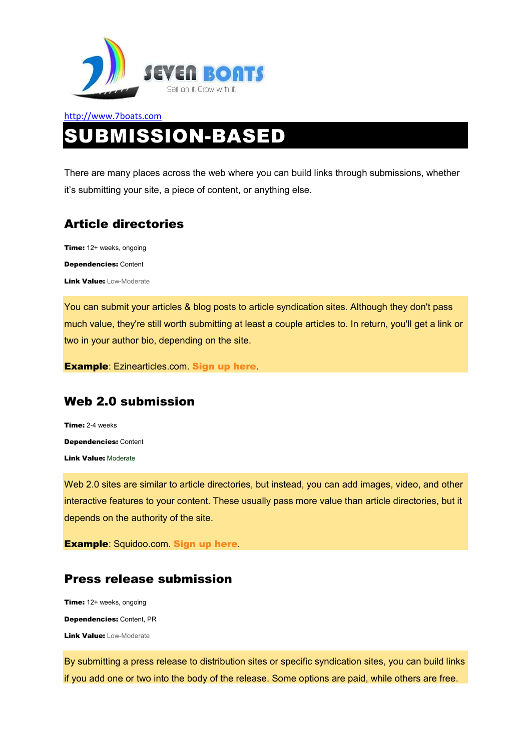

# http://www.7boats.com SUBMISSION-BASED

There are many places across the web where you can build links through submissions, whether it's submitting your site, a piece of content, or anything else.

# Article directories

Time: 12+ weeks, ongoing Dependencies: Content Link Value: Low-Moderate

You can submit your articles & blog posts to article syndication sites. Although they don't pass much value, they're still worth submitting at least a couple articles to. In return, you'll get a link or two in your author bio, depending on the site.

Example: Ezinearticles.com. Sign up here.

# Web 2.0 submission

Time: 2-4 weeks Dependencies: Content Link Value: Moderate

Web 2.0 sites are similar to article directories, but instead, you can add images, video, and other interactive features to your content. These usually pass more value than article directories, but it depends on the authority of the site.

Example: Squidoo.com. Sign up here.

## Press release submission

Time: 12+ weeks, ongoing Dependencies: Content, PR **Link Value: Low-Moderate** 

By submitting a press release to distribution sites or specific syndication sites, you can build links if you add one or two into the body of the release. Some options are paid, while others are free.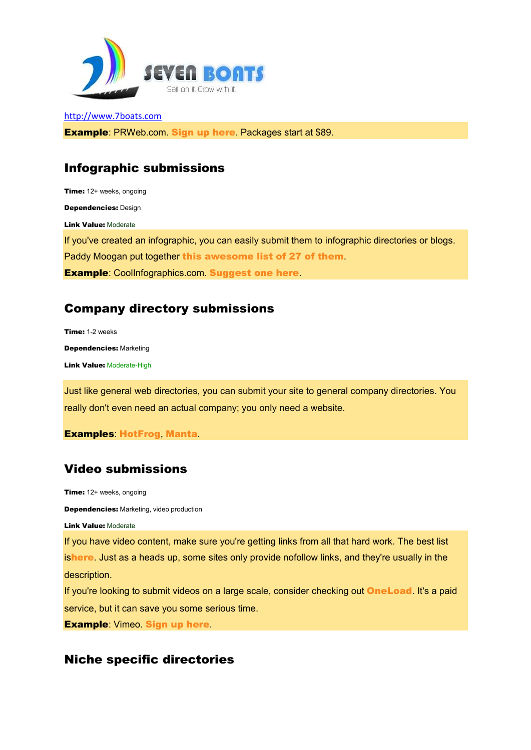

Example: PRWeb.com. Sign up here. Packages start at \$89.

# Infographic submissions

Time: 12+ weeks, ongoing Dependencies: Design Link Value: Moderate If you've created an infographic, you can easily submit them to infographic directories or blogs. Paddy Moogan put together this awesome list of 27 of them. Example: CoolInfographics.com. Suggest one here.

# Company directory submissions

Time: 1-2 weeks Dependencies: Marketing Link Value: Moderate-High

Just like general web directories, you can submit your site to general company directories. You really don't even need an actual company; you only need a website.

Examples: HotFrog, Manta.

# Video submissions

Time: 12+ weeks, ongoing

Dependencies: Marketing, video production

Link Value: Moderate

If you have video content, make sure you're getting links from all that hard work. The best list ishere. Just as a heads up, some sites only provide nofollow links, and they're usually in the description.

If you're looking to submit videos on a large scale, consider checking out **OneLoad**. It's a paid service, but it can save you some serious time.

Example: Vimeo. Sign up here.

## Niche specific directories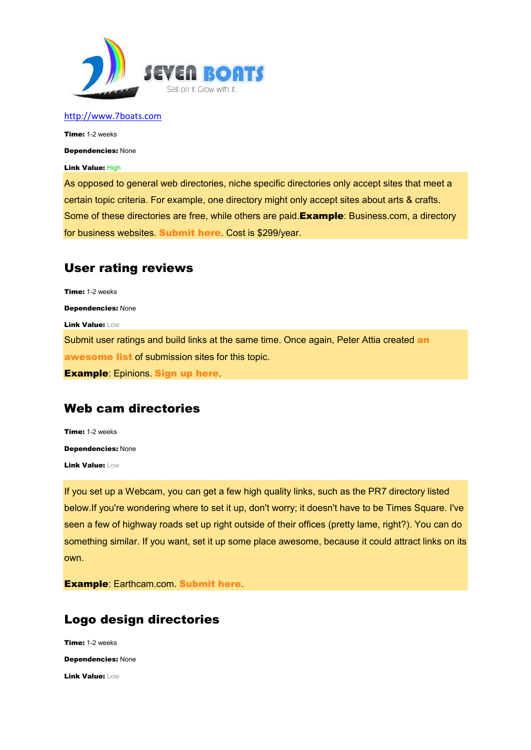

Time: 1-2 weeks

Dependencies: None

Link Value: High

As opposed to general web directories, niche specific directories only accept sites that meet a certain topic criteria. For example, one directory might only accept sites about arts & crafts. Some of these directories are free, while others are paid. Example: Business.com, a directory for business websites. Submit here. Cost is \$299/year.

#### User rating reviews

Time: 1-2 weeks Dependencies: None Link Value: Low Submit user ratings and build links at the same time. Once again, Peter Attia created an awesome list of submission sites for this topic. **Example: Epinions. Sign up here.** 

#### Web cam directories

Time: 1-2 weeks Dependencies: None Link Value: Low

If you set up a Webcam, you can get a few high quality links, such as the PR7 directory listed below.If you're wondering where to set it up, don't worry; it doesn't have to be Times Square. I've seen a few of highway roads set up right outside of their offices (pretty lame, right?). You can do something similar. If you want, set it up some place awesome, because it could attract links on its own.

Example: Earthcam.com. Submit here.

## Logo design directories

Time: 1-2 weeks Dependencies: None Link Value: Low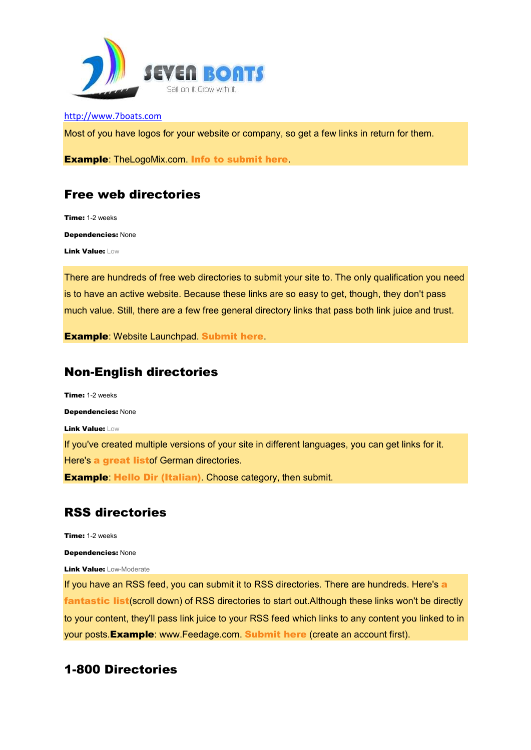

Most of you have logos for your website or company, so get a few links in return for them.

**Example: TheLogoMix.com. Info to submit here.** 

## Free web directories

Time: 1-2 weeks Dependencies: None Link Value: Low

There are hundreds of free web directories to submit your site to. The only qualification you need is to have an active website. Because these links are so easy to get, though, they don't pass much value. Still, there are a few free general directory links that pass both link juice and trust.

Example: Website Launchpad. Submit here.

#### Non-English directories

Time: 1-2 weeks Dependencies: None Link Value: Low If you've created multiple versions of your site in different languages, you can get links for it. Here's a great listof German directories. **Example: Hello Dir (Italian).** Choose category, then submit.

## RSS directories

Time: 1-2 weeks

Dependencies: None

**Link Value: Low-Moderate** 

If you have an RSS feed, you can submit it to RSS directories. There are hundreds. Here's a fantastic list(scroll down) of RSS directories to start out. Although these links won't be directly to your content, they'll pass link juice to your RSS feed which links to any content you linked to in your posts. Example: www.Feedage.com. Submit here (create an account first).

## 1-800 Directories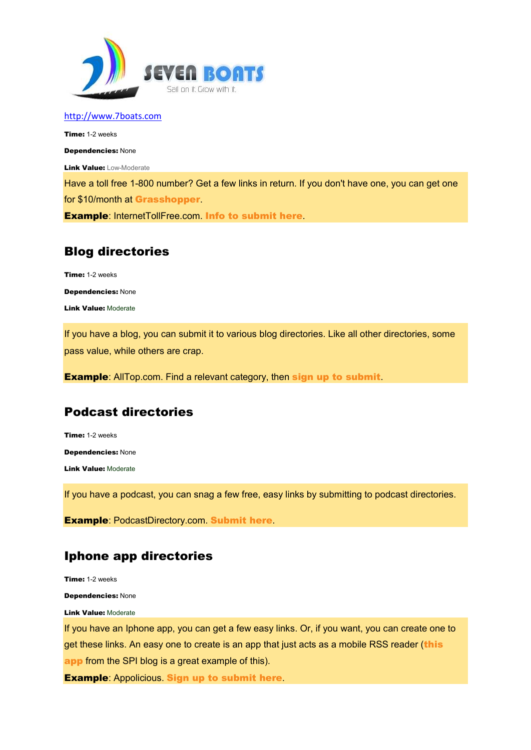

Time: 1-2 weeks

Dependencies: None

**Link Value: Low-Moderate** 

Have a toll free 1-800 number? Get a few links in return. If you don't have one, you can get one for \$10/month at Grasshopper.

Example: InternetTollFree.com. Info to submit here.

# Blog directories

Time: 1-2 weeks Dependencies: None Link Value: Moderate

If you have a blog, you can submit it to various blog directories. Like all other directories, some pass value, while others are crap.

**Example:** AllTop.com. Find a relevant category, then sign up to submit.

# Podcast directories

Time: 1-2 weeks Dependencies: None Link Value: Moderate

If you have a podcast, you can snag a few free, easy links by submitting to podcast directories.

Example: PodcastDirectory.com. Submit here.

# Iphone app directories

Time: 1-2 weeks

Dependencies: None

**Link Value: Moderate** 

If you have an Iphone app, you can get a few easy links. Or, if you want, you can create one to get these links. An easy one to create is an app that just acts as a mobile RSS reader (this app from the SPI blog is a great example of this).

**Example: Appolicious. Sign up to submit here.**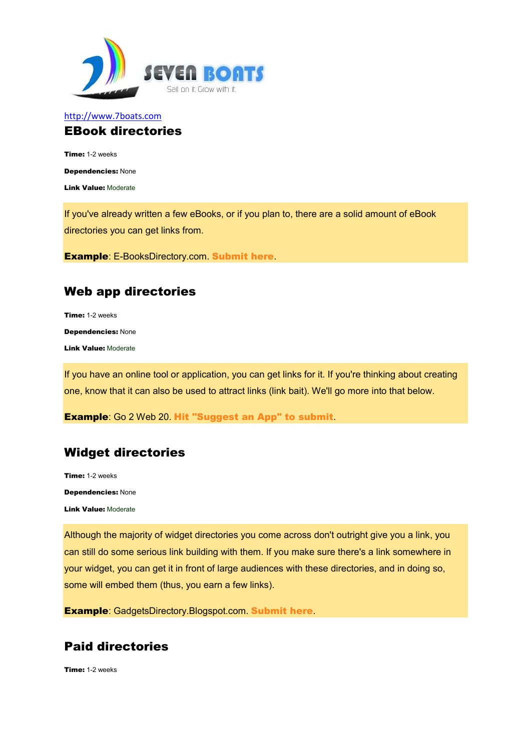

#### http://www.7boats.com EBook directories

Time: 1-2 weeks

Dependencies: None

Link Value: Moderate

If you've already written a few eBooks, or if you plan to, there are a solid amount of eBook directories you can get links from.

Example: E-BooksDirectory.com. Submit here.

## Web app directories

Time: 1-2 weeks Dependencies: None Link Value: Moderate

If you have an online tool or application, you can get links for it. If you're thinking about creating one, know that it can also be used to attract links (link bait). We'll go more into that below.

Example: Go 2 Web 20. Hit "Suggest an App" to submit.

# Widget directories

Time: 1-2 weeks Dependencies: None Link Value: Moderate

Although the majority of widget directories you come across don't outright give you a link, you can still do some serious link building with them. If you make sure there's a link somewhere in your widget, you can get it in front of large audiences with these directories, and in doing so, some will embed them (thus, you earn a few links).

Example: GadgetsDirectory.Blogspot.com. Submit here.

# Paid directories

Time: 1-2 weeks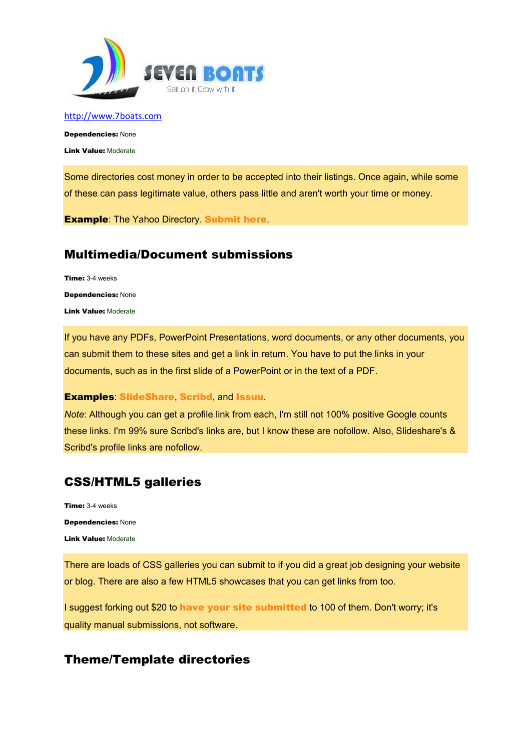

Dependencies: None Link Value: Moderate

Some directories cost money in order to be accepted into their listings. Once again, while some of these can pass legitimate value, others pass little and aren't worth your time or money.

**Example: The Yahoo Directory. Submit here.** 

## Multimedia/Document submissions

Time: 3-4 weeks Dependencies: None Link Value: Moderate

If you have any PDFs, PowerPoint Presentations, word documents, or any other documents, you can submit them to these sites and get a link in return. You have to put the links in your documents, such as in the first slide of a PowerPoint or in the text of a PDF.

#### Examples: SlideShare, Scribd, and Issuu.

*Note*: Although you can get a profile link from each, I'm still not 100% positive Google counts these links. I'm 99% sure Scribd's links are, but I know these are nofollow. Also, Slideshare's & Scribd's profile links are nofollow.

# CSS/HTML5 galleries

Time: 3-4 weeks Dependencies: None Link Value: Moderate

There are loads of CSS galleries you can submit to if you did a great job designing your website or blog. There are also a few HTML5 showcases that you can get links from too.

I suggest forking out \$20 to have your site submitted to 100 of them. Don't worry; it's quality manual submissions, not software.

## Theme/Template directories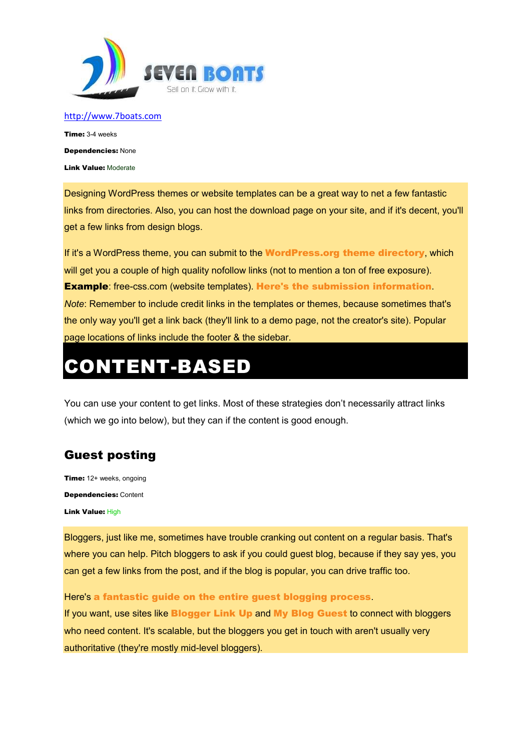

Time: 3-4 weeks Dependencies: None Link Value: Moderate

Designing WordPress themes or website templates can be a great way to net a few fantastic links from directories. Also, you can host the download page on your site, and if it's decent, you'll get a few links from design blogs.

If it's a WordPress theme, you can submit to the **WordPress.org theme directory**, which will get you a couple of high quality nofollow links (not to mention a ton of free exposure). **Example:** free-css.com (website templates). Here's the submission information. *Note*: Remember to include credit links in the templates or themes, because sometimes that's the only way you'll get a link back (they'll link to a demo page, not the creator's site). Popular page locations of links include the footer & the sidebar.

# CONTENT-BASED

You can use your content to get links. Most of these strategies don't necessarily attract links (which we go into below), but they can if the content is good enough.

# Guest posting

Time: 12+ weeks, ongoing Dependencies: Content Link Value: High

Bloggers, just like me, sometimes have trouble cranking out content on a regular basis. That's where you can help. Pitch bloggers to ask if you could guest blog, because if they say yes, you can get a few links from the post, and if the blog is popular, you can drive traffic too.

Here's a fantastic guide on the entire guest blogging process.

If you want, use sites like Blogger Link Up and My Blog Guest to connect with bloggers who need content. It's scalable, but the bloggers you get in touch with aren't usually very authoritative (they're mostly mid-level bloggers).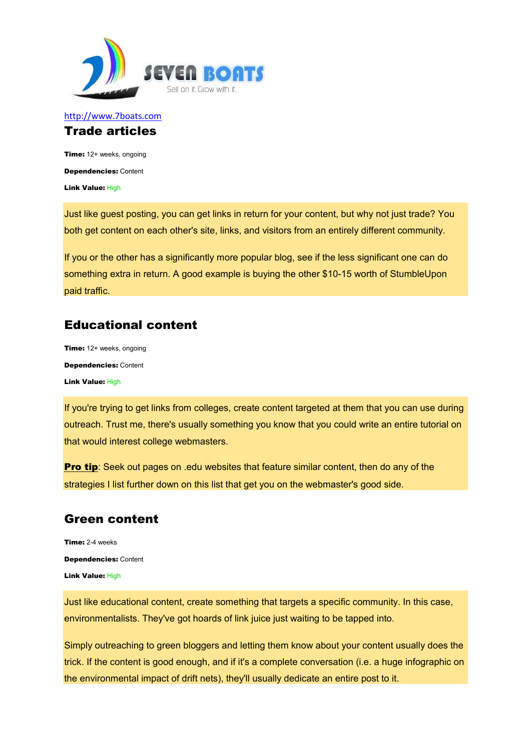

#### http://www.7boats.com Trade articles

Time: 12+ weeks, ongoing Dependencies: Content Link Value: High

Just like guest posting, you can get links in return for your content, but why not just trade? You both get content on each other's site, links, and visitors from an entirely different community.

If you or the other has a significantly more popular blog, see if the less significant one can do something extra in return. A good example is buying the other \$10-15 worth of StumbleUpon paid traffic.

## Educational content

Time: 12+ weeks, ongoing Dependencies: Content Link Value: High

If you're trying to get links from colleges, create content targeted at them that you can use during outreach. Trust me, there's usually something you know that you could write an entire tutorial on that would interest college webmasters.

**Pro tip:** Seek out pages on .edu websites that feature similar content, then do any of the strategies I list further down on this list that get you on the webmaster's good side.

# Green content

Time: 2-4 weeks Dependencies: Content Link Value: High

Just like educational content, create something that targets a specific community. In this case, environmentalists. They've got hoards of link juice just waiting to be tapped into.

Simply outreaching to green bloggers and letting them know about your content usually does the trick. If the content is good enough, and if it's a complete conversation (i.e. a huge infographic on the environmental impact of drift nets), they'll usually dedicate an entire post to it.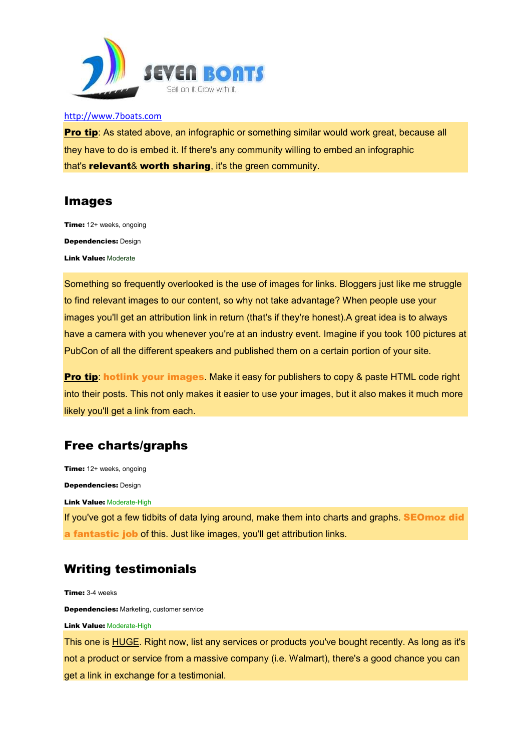

**Pro tip:** As stated above, an infographic or something similar would work great, because all they have to do is embed it. If there's any community willing to embed an infographic that's **relevant& worth sharing**, it's the green community.

#### Images

Time: 12+ weeks, ongoing Dependencies: Design Link Value: Moderate

Something so frequently overlooked is the use of images for links. Bloggers just like me struggle to find relevant images to our content, so why not take advantage? When people use your images you'll get an attribution link in return (that's if they're honest).A great idea is to always have a camera with you whenever you're at an industry event. Imagine if you took 100 pictures at PubCon of all the different speakers and published them on a certain portion of your site.

Pro tip: hotlink your images. Make it easy for publishers to copy & paste HTML code right into their posts. This not only makes it easier to use your images, but it also makes it much more likely you'll get a link from each.

# Free charts/graphs

Time: 12+ weeks, ongoing Dependencies: Design **Link Value: Moderate-High** If you've got a few tidbits of data lying around, make them into charts and graphs. **SEOmoz did** a fantastic job of this. Just like images, you'll get attribution links.

## Writing testimonials

Time: 3-4 weeks Dependencies: Marketing, customer service **Link Value: Moderate-High** 

This one is HUGE. Right now, list any services or products you've bought recently. As long as it's not a product or service from a massive company (i.e. Walmart), there's a good chance you can get a link in exchange for a testimonial.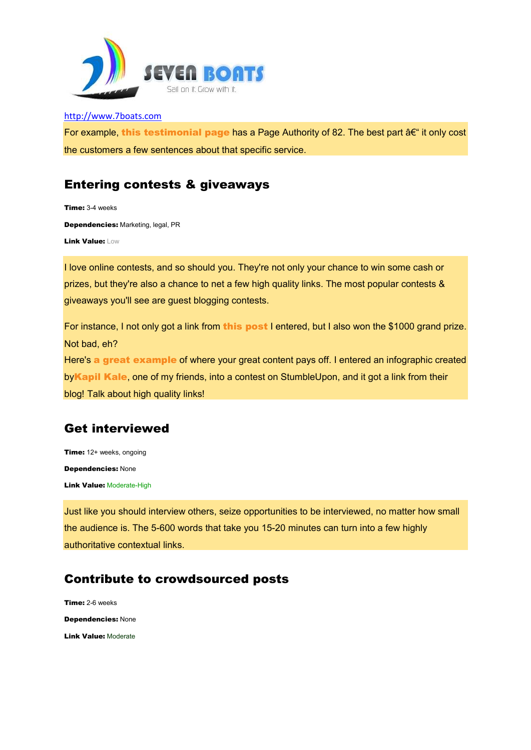

For example, this testimonial page has a Page Authority of 82. The best part  $\hat{a}\hat{\epsilon}^*$  it only cost the customers a few sentences about that specific service.

# Entering contests & giveaways

Time: 3-4 weeks Dependencies: Marketing, legal, PR Link Value: Low

I love online contests, and so should you. They're not only your chance to win some cash or prizes, but they're also a chance to net a few high quality links. The most popular contests & giveaways you'll see are guest blogging contests.

For instance, I not only got a link from this post I entered, but I also won the \$1000 grand prize. Not bad, eh? Here's a great example of where your great content pays off. I entered an infographic created by Kapil Kale, one of my friends, into a contest on StumbleUpon, and it got a link from their blog! Talk about high quality links!

# Get interviewed

Time: 12+ weeks, ongoing Dependencies: None **Link Value: Moderate-High** 

Just like you should interview others, seize opportunities to be interviewed, no matter how small the audience is. The 5-600 words that take you 15-20 minutes can turn into a few highly authoritative contextual links.

# Contribute to crowdsourced posts

Time: 2-6 weeks Dependencies: None Link Value: Moderate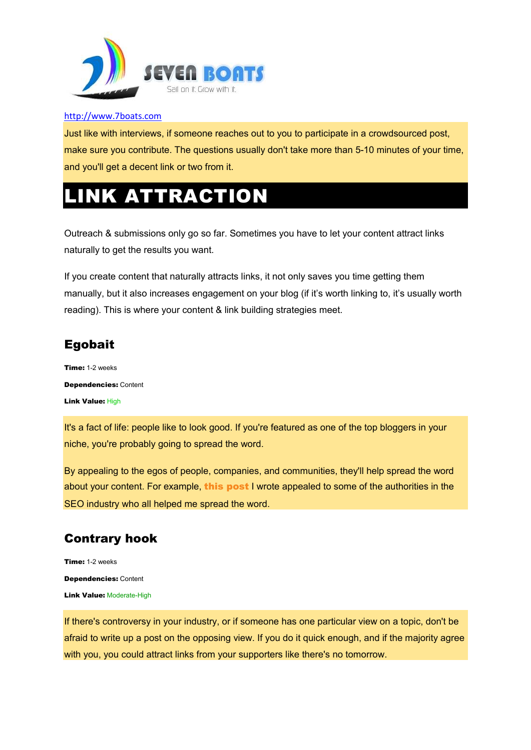

Just like with interviews, if someone reaches out to you to participate in a crowdsourced post, make sure you contribute. The questions usually don't take more than 5-10 minutes of your time, and you'll get a decent link or two from it.

# **INK ATTRACTION**

Outreach & submissions only go so far. Sometimes you have to let your content attract links naturally to get the results you want.

If you create content that naturally attracts links, it not only saves you time getting them manually, but it also increases engagement on your blog (if it's worth linking to, it's usually worth reading). This is where your content & link building strategies meet.

# Egobait

Time: 1-2 weeks Dependencies: Content Link Value: High

It's a fact of life: people like to look good. If you're featured as one of the top bloggers in your niche, you're probably going to spread the word.

By appealing to the egos of people, companies, and communities, they'll help spread the word about your content. For example, this post I wrote appealed to some of the authorities in the SEO industry who all helped me spread the word.

# Contrary hook

Time: 1-2 weeks Dependencies: Content Link Value: Moderate-High

If there's controversy in your industry, or if someone has one particular view on a topic, don't be afraid to write up a post on the opposing view. If you do it quick enough, and if the majority agree with you, you could attract links from your supporters like there's no tomorrow.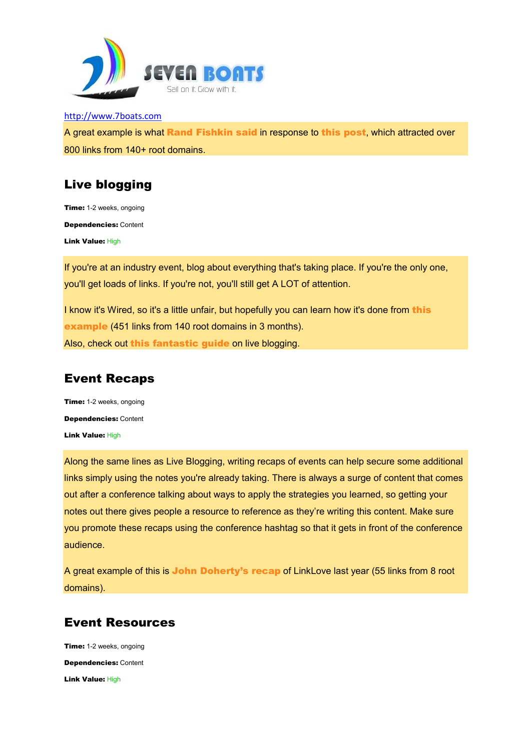

http://www.7boats.com A great example is what Rand Fishkin said in response to this post, which attracted over 800 links from 140+ root domains.

# Live blogging

Time: 1-2 weeks, ongoing Dependencies: Content Link Value: High

If you're at an industry event, blog about everything that's taking place. If you're the only one, you'll get loads of links. If you're not, you'll still get A LOT of attention.

I know it's Wired, so it's a little unfair, but hopefully you can learn how it's done from this example (451 links from 140 root domains in 3 months). Also, check out this fantastic guide on live blogging.

# Event Recaps

Time: 1-2 weeks, ongoing Dependencies: Content Link Value: High

Along the same lines as Live Blogging, writing recaps of events can help secure some additional links simply using the notes you're already taking. There is always a surge of content that comes out after a conference talking about ways to apply the strategies you learned, so getting your notes out there gives people a resource to reference as they're writing this content. Make sure you promote these recaps using the conference hashtag so that it gets in front of the conference audience.

A great example of this is John Doherty's recap of LinkLove last year (55 links from 8 root domains).

# Event Resources

Time: 1-2 weeks, ongoing Dependencies: Content Link Value: High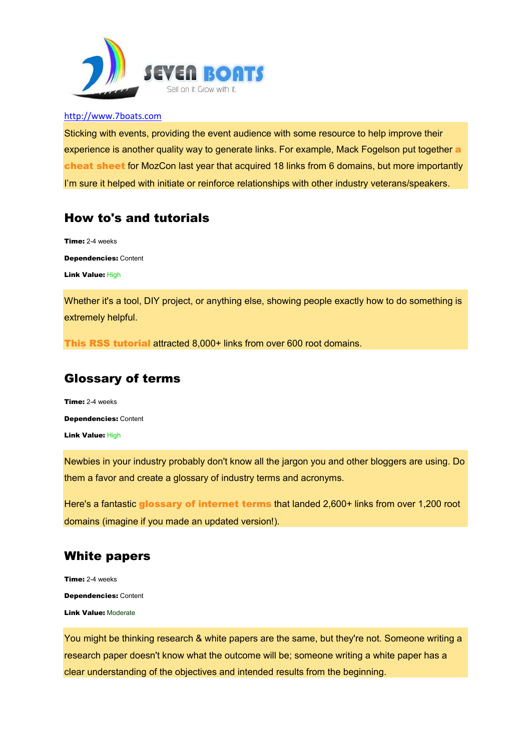

Sticking with events, providing the event audience with some resource to help improve their experience is another quality way to generate links. For example, Mack Fogelson put together a cheat sheet for MozCon last year that acquired 18 links from 6 domains, but more importantly I'm sure it helped with initiate or reinforce relationships with other industry veterans/speakers.

# How to's and tutorials

Time: 2-4 weeks Dependencies: Content Link Value: High

Whether it's a tool, DIY project, or anything else, showing people exactly how to do something is extremely helpful.

This RSS tutorial attracted 8,000+ links from over 600 root domains.

# Glossary of terms

Time: 2-4 weeks Dependencies: Content Link Value: High

Newbies in your industry probably don't know all the jargon you and other bloggers are using. Do them a favor and create a glossary of industry terms and acronyms.

Here's a fantastic glossary of internet terms that landed 2,600+ links from over 1,200 root domains (imagine if you made an updated version!).

# White papers

Time: 2-4 weeks Dependencies: Content Link Value: Moderate

You might be thinking research & white papers are the same, but they're not. Someone writing a research paper doesn't know what the outcome will be; someone writing a white paper has a clear understanding of the objectives and intended results from the beginning.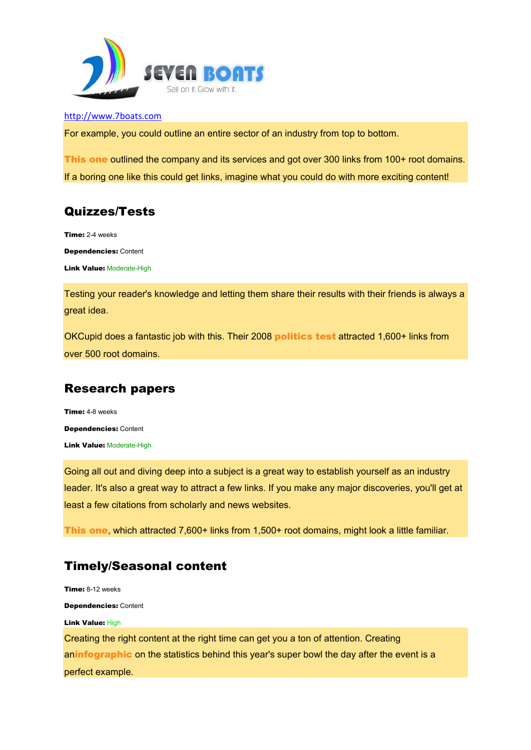

For example, you could outline an entire sector of an industry from top to bottom.

This one outlined the company and its services and got over 300 links from 100+ root domains. If a boring one like this could get links, imagine what you could do with more exciting content!

# Quizzes/Tests

Time: 2-4 weeks

Dependencies: Content

**Link Value: Moderate-High** 

Testing your reader's knowledge and letting them share their results with their friends is always a great idea.

OKCupid does a fantastic job with this. Their 2008 politics test attracted 1,600+ links from over 500 root domains.

# Research papers

Time: 4-8 weeks Dependencies: Content **Link Value: Moderate-High** 

Going all out and diving deep into a subject is a great way to establish yourself as an industry leader. It's also a great way to attract a few links. If you make any major discoveries, you'll get at least a few citations from scholarly and news websites.

This one, which attracted 7,600+ links from 1,500+ root domains, might look a little familiar.

# Timely/Seasonal content

Time: 8-12 weeks Dependencies: Content Link Value: High Creating the right content at the right time can get you a ton of attention. Creating aninfographic on the statistics behind this year's super bowl the day after the event is a perfect example.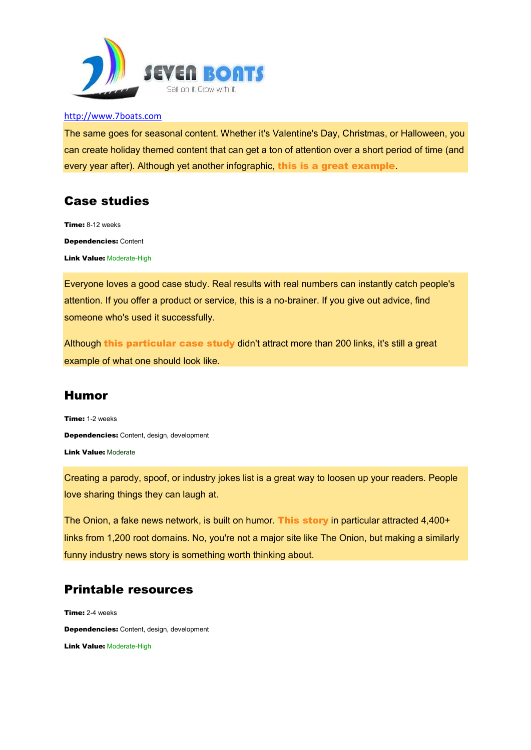

The same goes for seasonal content. Whether it's Valentine's Day, Christmas, or Halloween, you can create holiday themed content that can get a ton of attention over a short period of time (and every year after). Although yet another infographic, this is a great example.

# Case studies

Time: 8-12 weeks Dependencies: Content **Link Value: Moderate-High** 

Everyone loves a good case study. Real results with real numbers can instantly catch people's attention. If you offer a product or service, this is a no-brainer. If you give out advice, find someone who's used it successfully.

Although this particular case study didn't attract more than 200 links, it's still a great example of what one should look like.

# Humor

Time: 1-2 weeks Dependencies: Content, design, development Link Value: Moderate

Creating a parody, spoof, or industry jokes list is a great way to loosen up your readers. People love sharing things they can laugh at.

The Onion, a fake news network, is built on humor. This story in particular attracted 4,400+ links from 1,200 root domains. No, you're not a major site like The Onion, but making a similarly funny industry news story is something worth thinking about.

# Printable resources

Time: 2-4 weeks Dependencies: Content, design, development **Link Value: Moderate-High**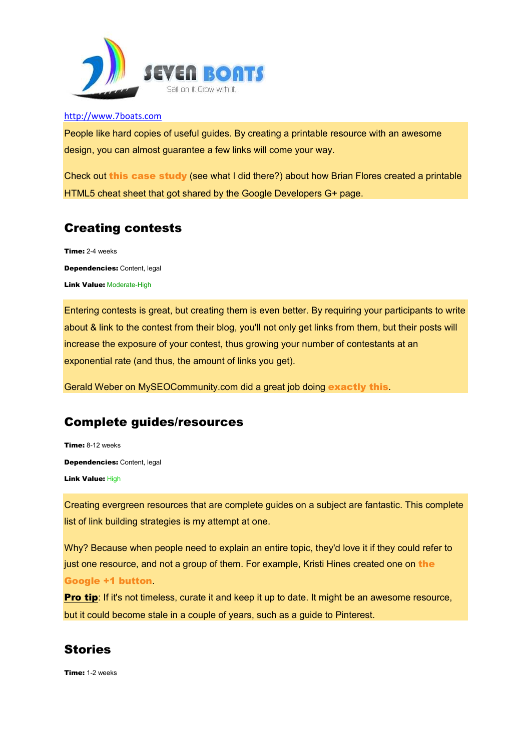

People like hard copies of useful guides. By creating a printable resource with an awesome design, you can almost guarantee a few links will come your way.

Check out this case study (see what I did there?) about how Brian Flores created a printable HTML5 cheat sheet that got shared by the Google Developers G+ page.

# Creating contests

Time: 2-4 weeks Dependencies: Content, legal **Link Value: Moderate-High** 

Entering contests is great, but creating them is even better. By requiring your participants to write about & link to the contest from their blog, you'll not only get links from them, but their posts will increase the exposure of your contest, thus growing your number of contestants at an exponential rate (and thus, the amount of links you get).

Gerald Weber on MySEOCommunity.com did a great job doing exactly this.

## Complete guides/resources

Time: 8-12 weeks Dependencies: Content, legal Link Value: High

Creating evergreen resources that are complete guides on a subject are fantastic. This complete list of link building strategies is my attempt at one.

Why? Because when people need to explain an entire topic, they'd love it if they could refer to just one resource, and not a group of them. For example, Kristi Hines created one on the Google +1 button.

**Pro tip:** If it's not timeless, curate it and keep it up to date. It might be an awesome resource, but it could become stale in a couple of years, such as a guide to Pinterest.

# **Stories**

Time: 1-2 weeks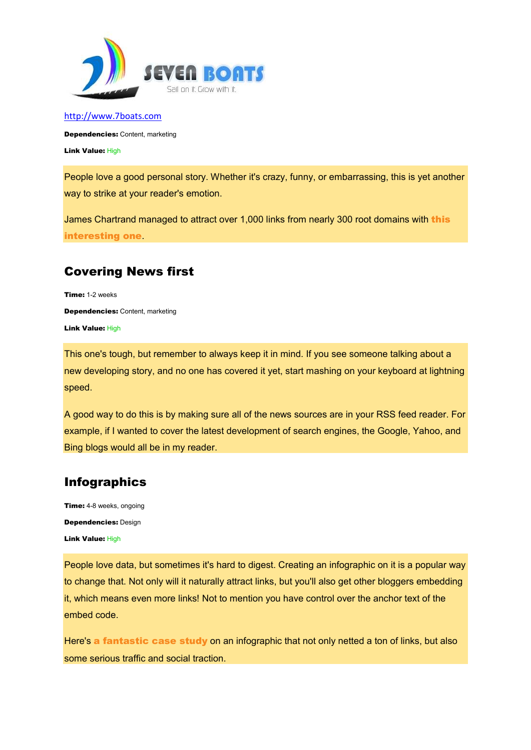

Dependencies: Content, marketing Link Value: High

People love a good personal story. Whether it's crazy, funny, or embarrassing, this is yet another way to strike at your reader's emotion.

James Chartrand managed to attract over 1,000 links from nearly 300 root domains with this interesting one.

## Covering News first

Time: 1-2 weeks Dependencies: Content, marketing Link Value: High

This one's tough, but remember to always keep it in mind. If you see someone talking about a new developing story, and no one has covered it yet, start mashing on your keyboard at lightning speed.

A good way to do this is by making sure all of the news sources are in your RSS feed reader. For example, if I wanted to cover the latest development of search engines, the Google, Yahoo, and Bing blogs would all be in my reader.

# Infographics

**Time:** 4-8 weeks, ongoing Dependencies: Design Link Value: High

People love data, but sometimes it's hard to digest. Creating an infographic on it is a popular way to change that. Not only will it naturally attract links, but you'll also get other bloggers embedding it, which means even more links! Not to mention you have control over the anchor text of the embed code.

Here's a fantastic case study on an infographic that not only netted a ton of links, but also some serious traffic and social traction.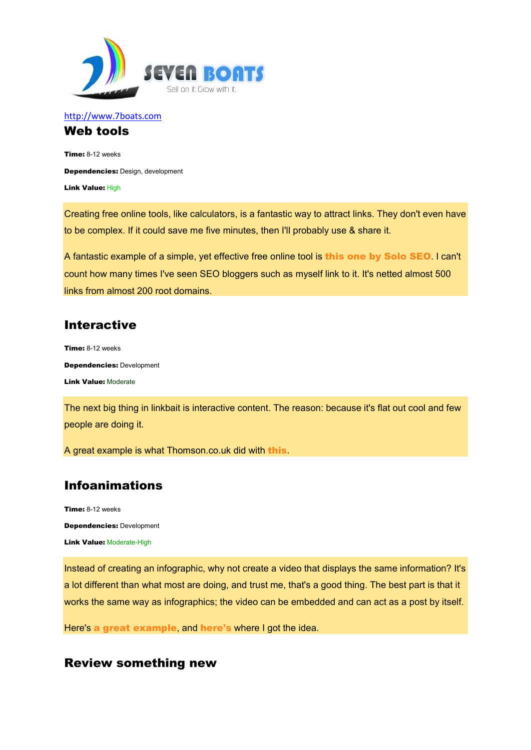

#### http://www.7boats.com Web tools

Time: 8-12 weeks Dependencies: Design, development Link Value: High

Creating free online tools, like calculators, is a fantastic way to attract links. They don't even have to be complex. If it could save me five minutes, then I'll probably use & share it.

A fantastic example of a simple, yet effective free online tool is this one by Solo SEO. I can't count how many times I've seen SEO bloggers such as myself link to it. It's netted almost 500 links from almost 200 root domains.

## Interactive

Time: 8-12 weeks Dependencies: Development Link Value: Moderate

The next big thing in linkbait is interactive content. The reason: because it's flat out cool and few people are doing it.

A great example is what Thomson.co.uk did with this.

# Infoanimations

Time: 8-12 weeks

Dependencies: Development

**Link Value: Moderate-High** 

Instead of creating an infographic, why not create a video that displays the same information? It's a lot different than what most are doing, and trust me, that's a good thing. The best part is that it works the same way as infographics; the video can be embedded and can act as a post by itself.

Here's a great example, and here's where I got the idea.

#### Review something new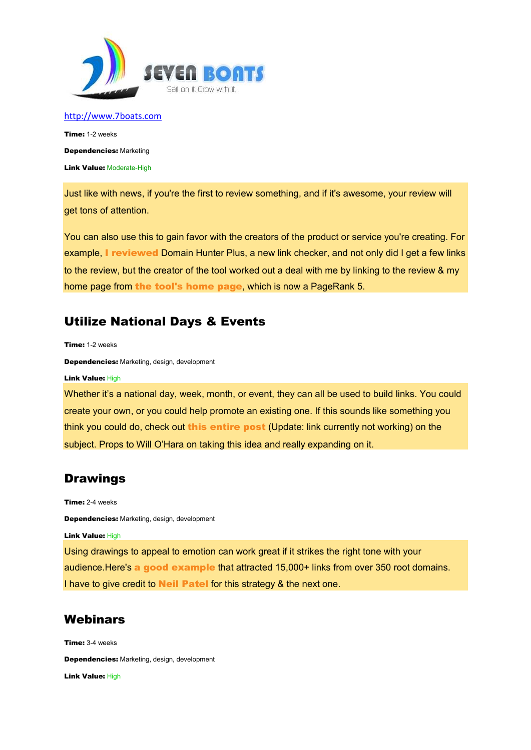

Time: 1-2 weeks Dependencies: Marketing **Link Value: Moderate-High** 

Just like with news, if you're the first to review something, and if it's awesome, your review will get tons of attention.

You can also use this to gain favor with the creators of the product or service you're creating. For example, I reviewed Domain Hunter Plus, a new link checker, and not only did I get a few links to the review, but the creator of the tool worked out a deal with me by linking to the review & my home page from the tool's home page, which is now a PageRank 5.

# Utilize National Days & Events

Time: 1-2 weeks

Dependencies: Marketing, design, development

Link Value: High

Whether it's a national day, week, month, or event, they can all be used to build links. You could create your own, or you could help promote an existing one. If this sounds like something you think you could do, check out this entire post (Update: link currently not working) on the subject. Props to Will O'Hara on taking this idea and really expanding on it.

## Drawings

Time: 2-4 weeks

Dependencies: Marketing, design, development

Link Value: High

Using drawings to appeal to emotion can work great if it strikes the right tone with your audience.Here's a good example that attracted 15,000+ links from over 350 root domains. I have to give credit to Neil Patel for this strategy & the next one.

#### **Webinars**

Time: 3-4 weeks Dependencies: Marketing, design, development Link Value: High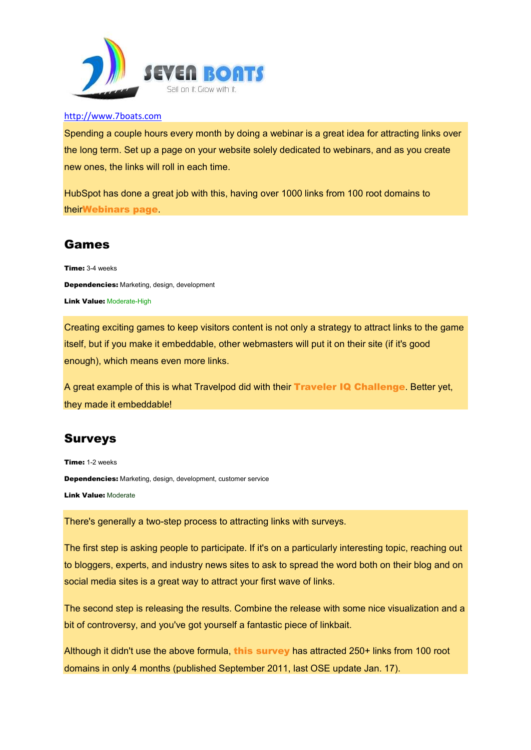

Spending a couple hours every month by doing a webinar is a great idea for attracting links over the long term. Set up a page on your website solely dedicated to webinars, and as you create new ones, the links will roll in each time.

HubSpot has done a great job with this, having over 1000 links from 100 root domains to theirWebinars page.

## Games

Time: 3-4 weeks Dependencies: Marketing, design, development Link Value: Moderate-High

Creating exciting games to keep visitors content is not only a strategy to attract links to the game itself, but if you make it embeddable, other webmasters will put it on their site (if it's good enough), which means even more links.

A great example of this is what Travelpod did with their Traveler IQ Challenge. Better yet, they made it embeddable!

# Surveys

Time: 1-2 weeks

Dependencies: Marketing, design, development, customer service

Link Value: Moderate

There's generally a two-step process to attracting links with surveys.

The first step is asking people to participate. If it's on a particularly interesting topic, reaching out to bloggers, experts, and industry news sites to ask to spread the word both on their blog and on social media sites is a great way to attract your first wave of links.

The second step is releasing the results. Combine the release with some nice visualization and a bit of controversy, and you've got yourself a fantastic piece of linkbait.

Although it didn't use the above formula, this survey has attracted 250+ links from 100 root domains in only 4 months (published September 2011, last OSE update Jan. 17).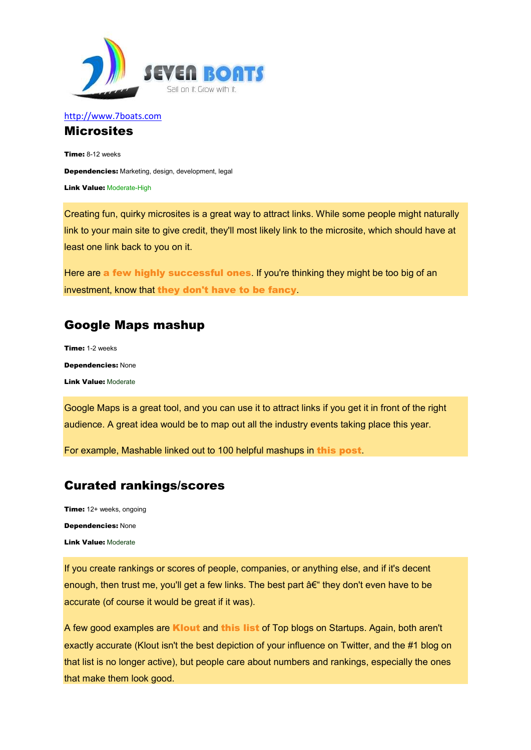

#### http://www.7boats.com **Microsites**

Time: 8-12 weeks Dependencies: Marketing, design, development, legal **Link Value: Moderate-High** 

Creating fun, quirky microsites is a great way to attract links. While some people might naturally link to your main site to give credit, they'll most likely link to the microsite, which should have at least one link back to you on it.

Here are a few highly successful ones. If you're thinking they might be too big of an investment, know that they don't have to be fancy.

# Google Maps mashup

Time: 1-2 weeks Dependencies: None Link Value: Moderate

Google Maps is a great tool, and you can use it to attract links if you get it in front of the right audience. A great idea would be to map out all the industry events taking place this year.

For example, Mashable linked out to 100 helpful mashups in this post.

# Curated rankings/scores

Time: 12+ weeks, ongoing Dependencies: None Link Value: Moderate

If you create rankings or scores of people, companies, or anything else, and if it's decent enough, then trust me, you'll get a few links. The best part  $a \in \mathbb{C}$  they don't even have to be accurate (of course it would be great if it was).

A few good examples are **Klout** and this list of Top blogs on Startups. Again, both aren't exactly accurate (Klout isn't the best depiction of your influence on Twitter, and the #1 blog on that list is no longer active), but people care about numbers and rankings, especially the ones that make them look good.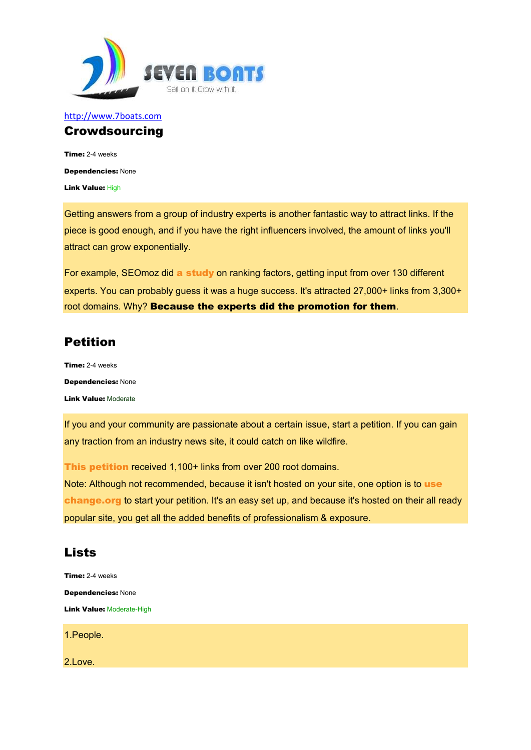

#### http://www.7boats.com **Crowdsourcing**

Time: 2-4 weeks Dependencies: None Link Value: High

Getting answers from a group of industry experts is another fantastic way to attract links. If the piece is good enough, and if you have the right influencers involved, the amount of links you'll attract can grow exponentially.

For example, SEOmoz did a study on ranking factors, getting input from over 130 different experts. You can probably guess it was a huge success. It's attracted 27,000+ links from 3,300+ root domains. Why? Because the experts did the promotion for them.

# Petition

Time: 2-4 weeks Dependencies: None Link Value: Moderate

If you and your community are passionate about a certain issue, start a petition. If you can gain any traction from an industry news site, it could catch on like wildfire.

This petition received 1,100+ links from over 200 root domains. Note: Although not recommended, because it isn't hosted on your site, one option is to use change.org to start your petition. It's an easy set up, and because it's hosted on their all ready popular site, you get all the added benefits of professionalism & exposure.

# **Lists**

Time: 2-4 weeks Dependencies: None **Link Value: Moderate-High** 

1.People.

2.Love.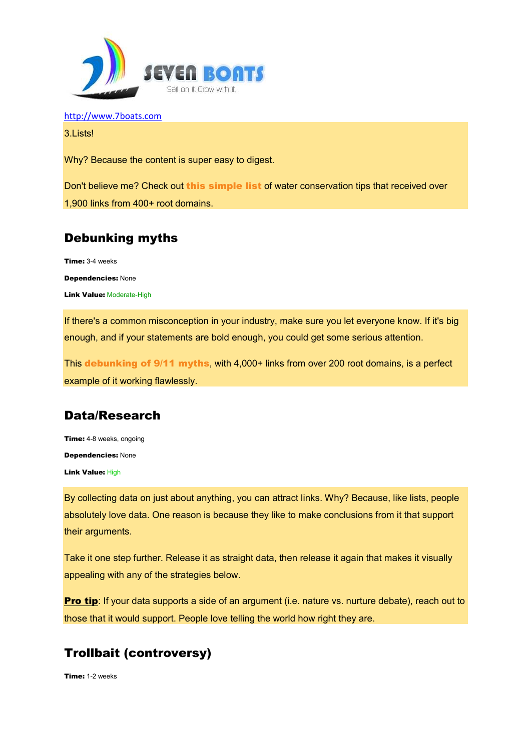

3.Lists!

Why? Because the content is super easy to digest.

Don't believe me? Check out this simple list of water conservation tips that received over 1,900 links from 400+ root domains.

# Debunking myths

Time: 3-4 weeks Dependencies: None

**Link Value: Moderate-High** 

If there's a common misconception in your industry, make sure you let everyone know. If it's big enough, and if your statements are bold enough, you could get some serious attention.

This debunking of 9/11 myths, with 4,000+ links from over 200 root domains, is a perfect example of it working flawlessly.

## Data/Research

Time: 4-8 weeks, ongoing Dependencies: None Link Value: High

By collecting data on just about anything, you can attract links. Why? Because, like lists, people absolutely love data. One reason is because they like to make conclusions from it that support their arguments.

Take it one step further. Release it as straight data, then release it again that makes it visually appealing with any of the strategies below.

**Pro tip:** If your data supports a side of an argument (i.e. nature vs. nurture debate), reach out to those that it would support. People love telling the world how right they are.

# Trollbait (controversy)

Time: 1-2 weeks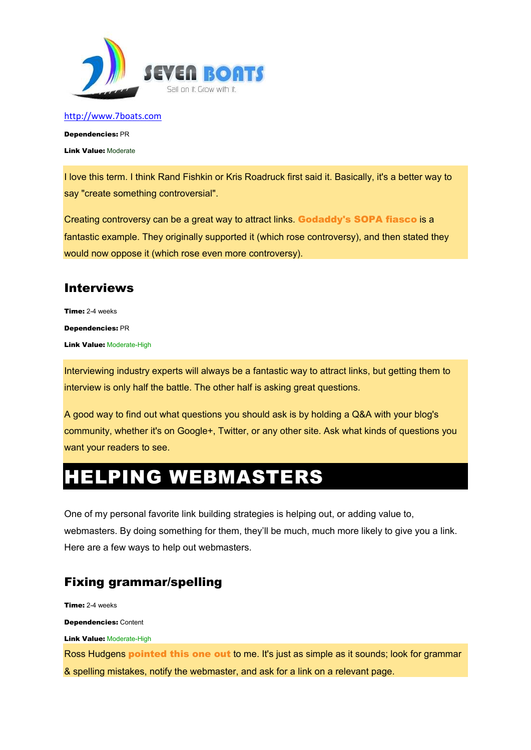

Dependencies: PR Link Value: Moderate

I love this term. I think Rand Fishkin or Kris Roadruck first said it. Basically, it's a better way to say "create something controversial".

Creating controversy can be a great way to attract links. Godaddy's SOPA fiasco is a fantastic example. They originally supported it (which rose controversy), and then stated they would now oppose it (which rose even more controversy).

# Interviews

Time: 2-4 weeks Dependencies: PR **Link Value: Moderate-High** 

Interviewing industry experts will always be a fantastic way to attract links, but getting them to interview is only half the battle. The other half is asking great questions.

A good way to find out what questions you should ask is by holding a Q&A with your blog's community, whether it's on Google+, Twitter, or any other site. Ask what kinds of questions you want your readers to see.

# HELPING WEBMASTERS

One of my personal favorite link building strategies is helping out, or adding value to, webmasters. By doing something for them, they'll be much, much more likely to give you a link. Here are a few ways to help out webmasters.

# Fixing grammar/spelling

Time: 2-4 weeks Dependencies: Content Link Value: Moderate-High Ross Hudgens **pointed this one out to** me. It's just as simple as it sounds; look for grammar & spelling mistakes, notify the webmaster, and ask for a link on a relevant page.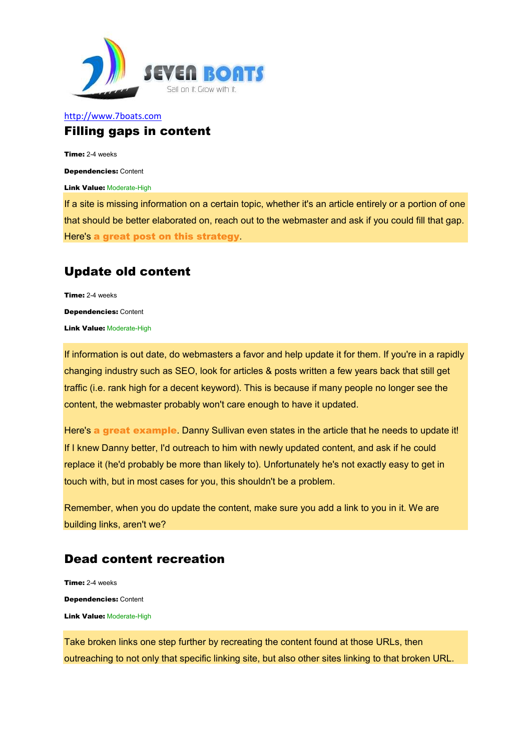

#### http://www.7boats.com Filling gaps in content

Time: 2-4 weeks

Dependencies: Content

**Link Value: Moderate-High** 

If a site is missing information on a certain topic, whether it's an article entirely or a portion of one that should be better elaborated on, reach out to the webmaster and ask if you could fill that gap. Here's a great post on this strategy.

## Update old content

Time: 2-4 weeks Dependencies: Content **Link Value: Moderate-High** 

If information is out date, do webmasters a favor and help update it for them. If you're in a rapidly changing industry such as SEO, look for articles & posts written a few years back that still get traffic (i.e. rank high for a decent keyword). This is because if many people no longer see the content, the webmaster probably won't care enough to have it updated.

Here's a great example. Danny Sullivan even states in the article that he needs to update it! If I knew Danny better, I'd outreach to him with newly updated content, and ask if he could replace it (he'd probably be more than likely to). Unfortunately he's not exactly easy to get in touch with, but in most cases for you, this shouldn't be a problem.

Remember, when you do update the content, make sure you add a link to you in it. We are building links, aren't we?

## Dead content recreation

Time: 2-4 weeks Dependencies: Content Link Value: Moderate-High

Take broken links one step further by recreating the content found at those URLs, then outreaching to not only that specific linking site, but also other sites linking to that broken URL.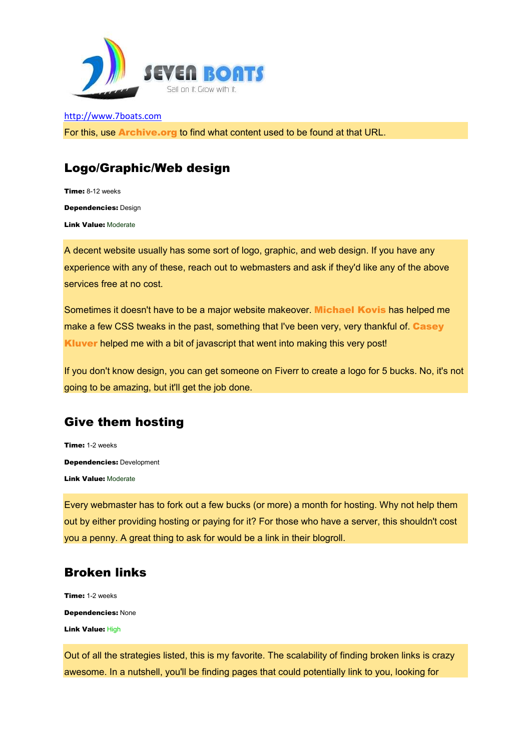

http://www.7boats.com For this, use Archive.org to find what content used to be found at that URL.

# Logo/Graphic/Web design

Time: 8-12 weeks Dependencies: Design Link Value: Moderate

A decent website usually has some sort of logo, graphic, and web design. If you have any experience with any of these, reach out to webmasters and ask if they'd like any of the above services free at no cost.

Sometimes it doesn't have to be a major website makeover. Michael Kovis has helped me make a few CSS tweaks in the past, something that I've been very, very thankful of. Casey Kluver helped me with a bit of javascript that went into making this very post!

If you don't know design, you can get someone on Fiverr to create a logo for 5 bucks. No, it's not going to be amazing, but it'll get the job done.

# Give them hosting

Time: 1-2 weeks Dependencies: Development Link Value: Moderate

Every webmaster has to fork out a few bucks (or more) a month for hosting. Why not help them out by either providing hosting or paying for it? For those who have a server, this shouldn't cost you a penny. A great thing to ask for would be a link in their blogroll.

# Broken links

Time: 1-2 weeks Dependencies: None Link Value: High

Out of all the strategies listed, this is my favorite. The scalability of finding broken links is crazy awesome. In a nutshell, you'll be finding pages that could potentially link to you, looking for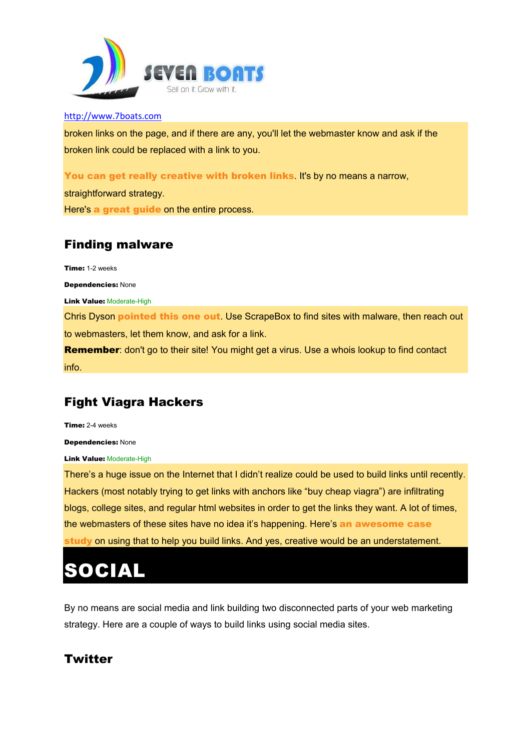

broken links on the page, and if there are any, you'll let the webmaster know and ask if the broken link could be replaced with a link to you.

You can get really creative with broken links. It's by no means a narrow,

straightforward strategy.

Here's a great guide on the entire process.

# Finding malware

Time: 1-2 weeks Dependencies: None Link Value: Moderate-High Chris Dyson **pointed this one out**. Use ScrapeBox to find sites with malware, then reach out to webmasters, let them know, and ask for a link. **Remember:** don't go to their site! You might get a virus. Use a whois lookup to find contact info.

# Fight Viagra Hackers

Time: 2-4 weeks

Dependencies: None

**Link Value: Moderate-High** 

There's a huge issue on the Internet that I didn't realize could be used to build links until recently. Hackers (most notably trying to get links with anchors like "buy cheap viagra") are infiltrating blogs, college sites, and regular html websites in order to get the links they want. A lot of times, the webmasters of these sites have no idea it's happening. Here's an awesome case study on using that to help you build links. And yes, creative would be an understatement.

# SOCIAL

By no means are social media and link building two disconnected parts of your web marketing strategy. Here are a couple of ways to build links using social media sites.

# **Twitter**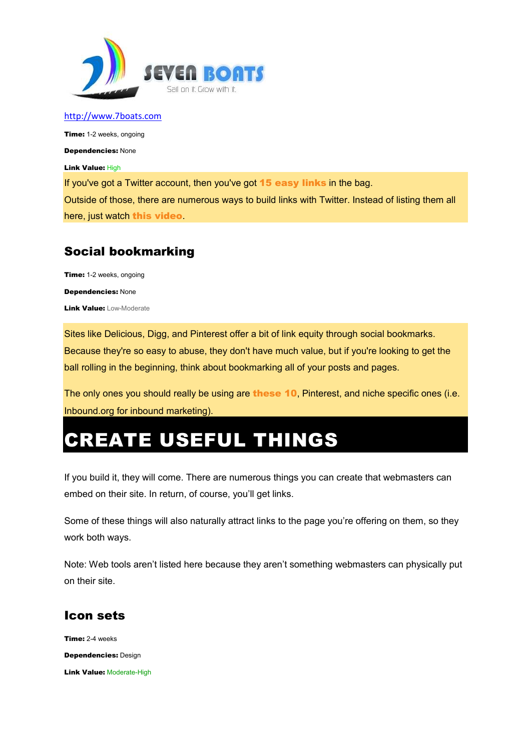

**Time:** 1-2 weeks, ongoing

Dependencies: None

Link Value: High

If you've got a Twitter account, then you've got **15 easy links** in the bag.

Outside of those, there are numerous ways to build links with Twitter. Instead of listing them all here, just watch this video.

# Social bookmarking

Time: 1-2 weeks, ongoing Dependencies: None **Link Value: Low-Moderate** 

Sites like Delicious, Digg, and Pinterest offer a bit of link equity through social bookmarks. Because they're so easy to abuse, they don't have much value, but if you're looking to get the ball rolling in the beginning, think about bookmarking all of your posts and pages.

The only ones you should really be using are these 10, Pinterest, and niche specific ones (i.e. Inbound.org for inbound marketing).

# CREATE USEFUL THINGS

If you build it, they will come. There are numerous things you can create that webmasters can embed on their site. In return, of course, you'll get links.

Some of these things will also naturally attract links to the page you're offering on them, so they work both ways.

Note: Web tools aren't listed here because they aren't something webmasters can physically put on their site.

# Icon sets

Time: 2-4 weeks Dependencies: Design **Link Value: Moderate-High**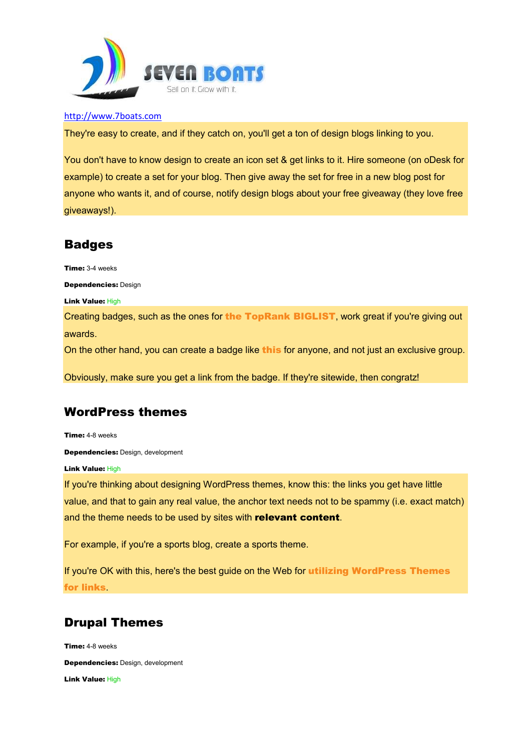

They're easy to create, and if they catch on, you'll get a ton of design blogs linking to you.

You don't have to know design to create an icon set & get links to it. Hire someone (on oDesk for example) to create a set for your blog. Then give away the set for free in a new blog post for anyone who wants it, and of course, notify design blogs about your free giveaway (they love free giveaways!).

# Badges

Time: 3-4 weeks

Dependencies: Design

Link Value: High

Creating badges, such as the ones for the TopRank BIGLIST, work great if you're giving out awards.

On the other hand, you can create a badge like this for anyone, and not just an exclusive group.

Obviously, make sure you get a link from the badge. If they're sitewide, then congratz!

# WordPress themes

Time: 4-8 weeks

Dependencies: Design, development

Link Value: High

If you're thinking about designing WordPress themes, know this: the links you get have little value, and that to gain any real value, the anchor text needs not to be spammy (i.e. exact match) and the theme needs to be used by sites with relevant content.

For example, if you're a sports blog, create a sports theme.

If you're OK with this, here's the best guide on the Web for **utilizing WordPress Themes** for links.

# Drupal Themes

Time: 4-8 weeks Dependencies: Design, development Link Value: High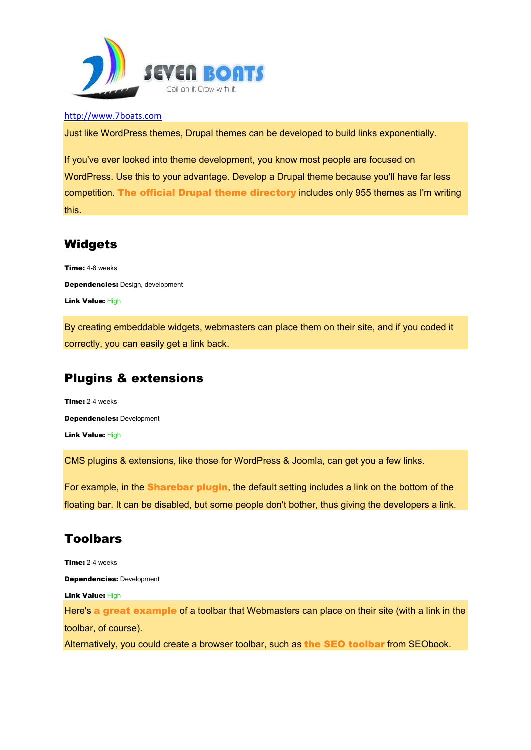

Just like WordPress themes, Drupal themes can be developed to build links exponentially.

If you've ever looked into theme development, you know most people are focused on WordPress. Use this to your advantage. Develop a Drupal theme because you'll have far less competition. The official Drupal theme directory includes only 955 themes as I'm writing this.

## **Widgets**

Time: 4-8 weeks Dependencies: Design, development Link Value: High

By creating embeddable widgets, webmasters can place them on their site, and if you coded it correctly, you can easily get a link back.

# Plugins & extensions

Time: 2-4 weeks Dependencies: Development Link Value: High

CMS plugins & extensions, like those for WordPress & Joomla, can get you a few links.

For example, in the Sharebar plugin, the default setting includes a link on the bottom of the floating bar. It can be disabled, but some people don't bother, thus giving the developers a link.

# Toolbars

Time: 2-4 weeks Dependencies: Development Link Value: High Here's a great example of a toolbar that Webmasters can place on their site (with a link in the toolbar, of course). Alternatively, you could create a browser toolbar, such as the SEO toolbar from SEObook.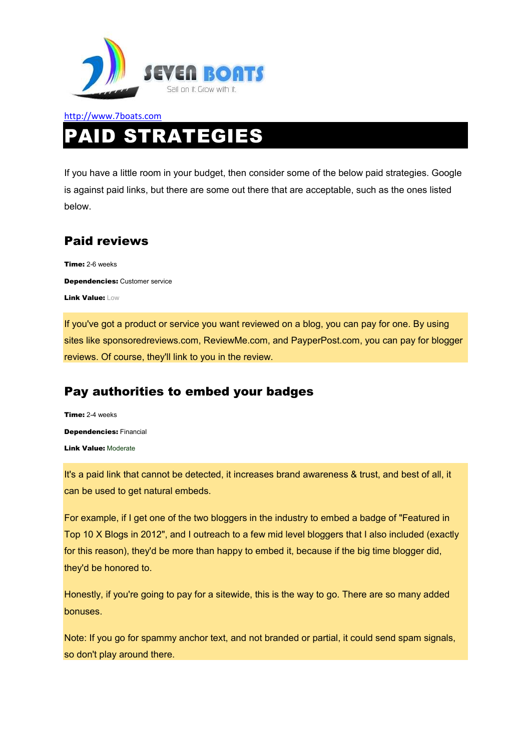

# PAID STRATEGIES

If you have a little room in your budget, then consider some of the below paid strategies. Google is against paid links, but there are some out there that are acceptable, such as the ones listed below.

## Paid reviews

Time: 2-6 weeks Dependencies: Customer service Link Value: Low

If you've got a product or service you want reviewed on a blog, you can pay for one. By using sites like sponsoredreviews.com, ReviewMe.com, and PayperPost.com, you can pay for blogger reviews. Of course, they'll link to you in the review.

## Pay authorities to embed your badges

Time: 2-4 weeks Dependencies: Financial Link Value: Moderate

It's a paid link that cannot be detected, it increases brand awareness & trust, and best of all, it can be used to get natural embeds.

For example, if I get one of the two bloggers in the industry to embed a badge of "Featured in Top 10 X Blogs in 2012", and I outreach to a few mid level bloggers that I also included (exactly for this reason), they'd be more than happy to embed it, because if the big time blogger did, they'd be honored to.

Honestly, if you're going to pay for a sitewide, this is the way to go. There are so many added bonuses.

Note: If you go for spammy anchor text, and not branded or partial, it could send spam signals, so don't play around there.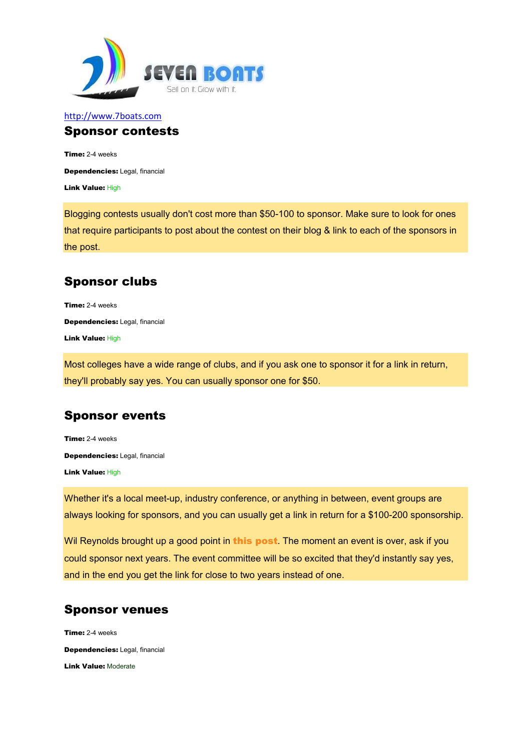

#### http://www.7boats.com Sponsor contests

Time: 2-4 weeks Dependencies: Legal, financial Link Value: High

Blogging contests usually don't cost more than \$50-100 to sponsor. Make sure to look for ones that require participants to post about the contest on their blog & link to each of the sponsors in the post.

# Sponsor clubs

Time: 2-4 weeks Dependencies: Legal, financial Link Value: High

Most colleges have a wide range of clubs, and if you ask one to sponsor it for a link in return, they'll probably say yes. You can usually sponsor one for \$50.

# Sponsor events

Time: 2-4 weeks Dependencies: Legal, financial Link Value: High

Whether it's a local meet-up, industry conference, or anything in between, event groups are always looking for sponsors, and you can usually get a link in return for a \$100-200 sponsorship.

Wil Reynolds brought up a good point in this post. The moment an event is over, ask if you could sponsor next years. The event committee will be so excited that they'd instantly say yes, and in the end you get the link for close to two years instead of one.

## Sponsor venues

Time: 2-4 weeks Dependencies: Legal, financial Link Value: Moderate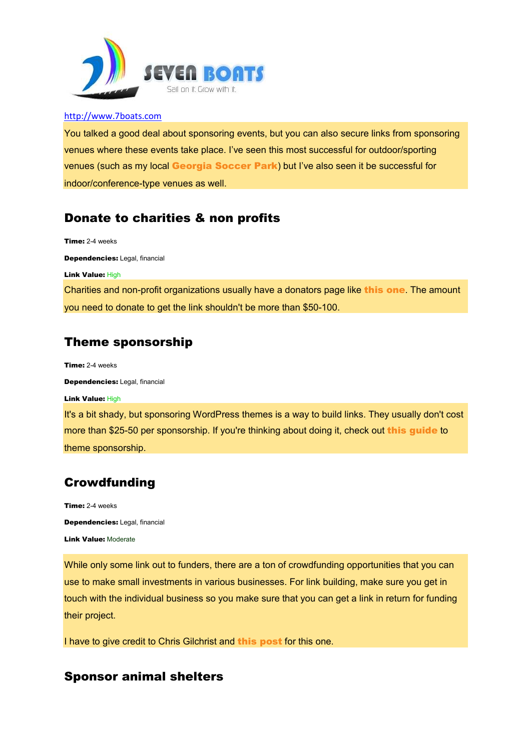

You talked a good deal about sponsoring events, but you can also secure links from sponsoring venues where these events take place. I've seen this most successful for outdoor/sporting venues (such as my local Georgia Soccer Park) but I've also seen it be successful for indoor/conference-type venues as well.

# Donate to charities & non profits

Dependencies: Legal, financial Link Value: High Charities and non-profit organizations usually have a donators page like this one. The amount you need to donate to get the link shouldn't be more than \$50-100. Theme sponsorship

Time: 2-4 weeks

Time: 2-4 weeks

Dependencies: Legal, financial

Link Value: High

It's a bit shady, but sponsoring WordPress themes is a way to build links. They usually don't cost more than \$25-50 per sponsorship. If you're thinking about doing it, check out this guide to theme sponsorship.

# Crowdfunding

Time: 2-4 weeks Dependencies: Legal, financial Link Value: Moderate

While only some link out to funders, there are a ton of crowdfunding opportunities that you can use to make small investments in various businesses. For link building, make sure you get in touch with the individual business so you make sure that you can get a link in return for funding their project.

I have to give credit to Chris Gilchrist and **this post** for this one.

## Sponsor animal shelters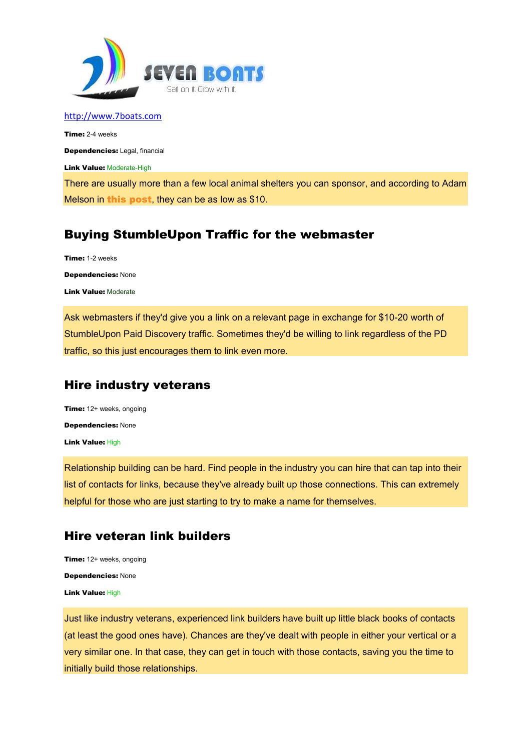

Time: 2-4 weeks Dependencies: Legal, financial **Link Value: Moderate-High** 

There are usually more than a few local animal shelters you can sponsor, and according to Adam Melson in this post, they can be as low as \$10.

## Buying StumbleUpon Traffic for the webmaster

Time: 1-2 weeks

Dependencies: None

Link Value: Moderate

Ask webmasters if they'd give you a link on a relevant page in exchange for \$10-20 worth of StumbleUpon Paid Discovery traffic. Sometimes they'd be willing to link regardless of the PD traffic, so this just encourages them to link even more.

## Hire industry veterans

Time: 12+ weeks, ongoing Dependencies: None Link Value: High

Relationship building can be hard. Find people in the industry you can hire that can tap into their list of contacts for links, because they've already built up those connections. This can extremely helpful for those who are just starting to try to make a name for themselves.

## Hire veteran link builders

Time: 12+ weeks, ongoing Dependencies: None Link Value: High

Just like industry veterans, experienced link builders have built up little black books of contacts (at least the good ones have). Chances are they've dealt with people in either your vertical or a very similar one. In that case, they can get in touch with those contacts, saving you the time to initially build those relationships.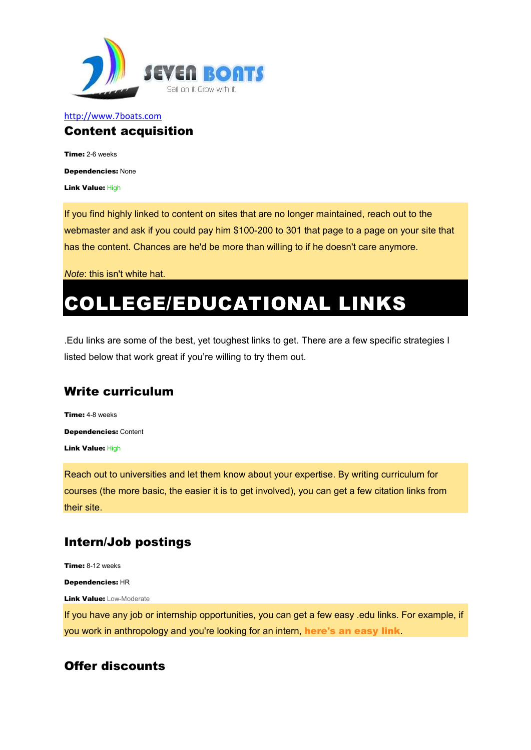

#### http://www.7boats.com Content acquisition

Time: 2-6 weeks Dependencies: None

Link Value: High

If you find highly linked to content on sites that are no longer maintained, reach out to the webmaster and ask if you could pay him \$100-200 to 301 that page to a page on your site that has the content. Chances are he'd be more than willing to if he doesn't care anymore.

*Note*: this isn't white hat.

# COLLEGE/EDUCATIONAL LINKS

.Edu links are some of the best, yet toughest links to get. There are a few specific strategies I listed below that work great if you're willing to try them out.

## Write curriculum

Time: 4-8 weeks Dependencies: Content **Link Value: High** 

Reach out to universities and let them know about your expertise. By writing curriculum for courses (the more basic, the easier it is to get involved), you can get a few citation links from their site.

## Intern/Job postings

Time: 8-12 weeks Dependencies: HR **Link Value: Low-Moderate** If you have any job or internship opportunities, you can get a few easy .edu links. For example, if you work in anthropology and you're looking for an intern, here's an easy link.

## Offer discounts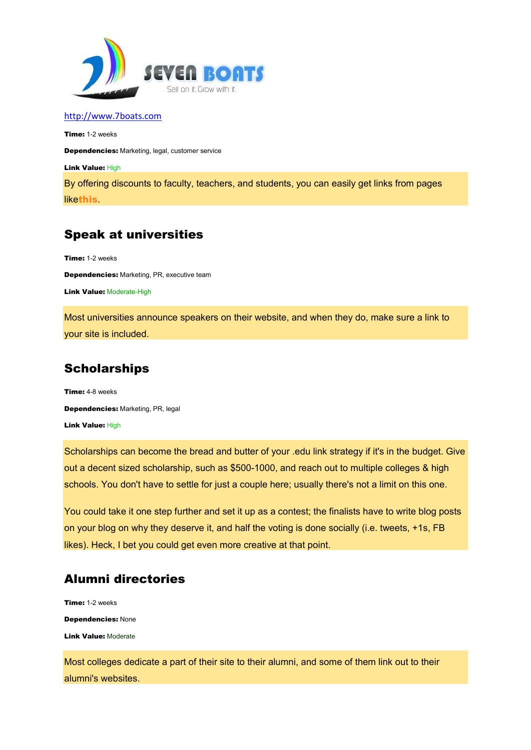

Time: 1-2 weeks Dependencies: Marketing, legal, customer service

Link Value: High

By offering discounts to faculty, teachers, and students, you can easily get links from pages likethis.

# Speak at universities

Time: 1-2 weeks

Dependencies: Marketing, PR, executive team

Link Value: Moderate-High

Most universities announce speakers on their website, and when they do, make sure a link to your site is included.

# **Scholarships**

Time: 4-8 weeks Dependencies: Marketing, PR, legal Link Value: High

Scholarships can become the bread and butter of your .edu link strategy if it's in the budget. Give out a decent sized scholarship, such as \$500-1000, and reach out to multiple colleges & high schools. You don't have to settle for just a couple here; usually there's not a limit on this one.

You could take it one step further and set it up as a contest; the finalists have to write blog posts on your blog on why they deserve it, and half the voting is done socially (i.e. tweets, +1s, FB likes). Heck, I bet you could get even more creative at that point.

# Alumni directories

Time: 1-2 weeks Dependencies: None Link Value: Moderate

Most colleges dedicate a part of their site to their alumni, and some of them link out to their alumni's websites.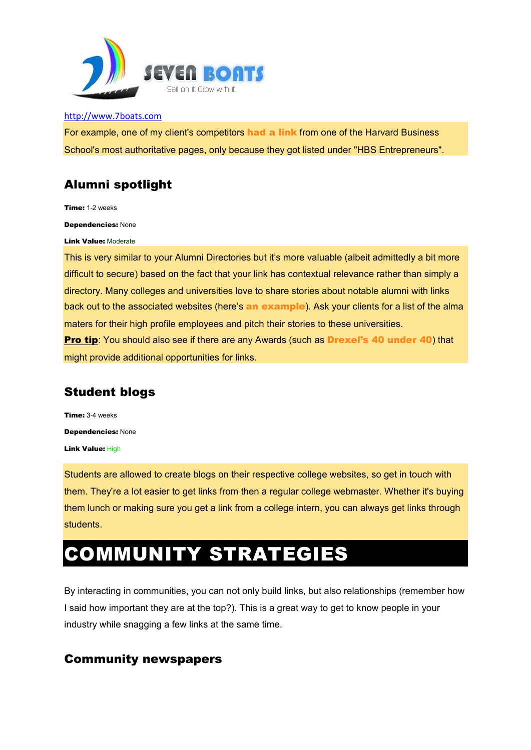

For example, one of my client's competitors had a link from one of the Harvard Business School's most authoritative pages, only because they got listed under "HBS Entrepreneurs".

# Alumni spotlight

Time: 1-2 weeks

Dependencies: None

Link Value: Moderate

This is very similar to your Alumni Directories but it's more valuable (albeit admittedly a bit more difficult to secure) based on the fact that your link has contextual relevance rather than simply a directory. Many colleges and universities love to share stories about notable alumni with links back out to the associated websites (here's an example). Ask your clients for a list of the alma maters for their high profile employees and pitch their stories to these universities. **Pro tip:** You should also see if there are any Awards (such as **Drexel's 40 under 40)** that might provide additional opportunities for links.

# Student blogs

Time: 3-4 weeks Dependencies: None Link Value: High

Students are allowed to create blogs on their respective college websites, so get in touch with them. They're a lot easier to get links from then a regular college webmaster. Whether it's buying them lunch or making sure you get a link from a college intern, you can always get links through students.

# COMMUNITY STRATEGIES

By interacting in communities, you can not only build links, but also relationships (remember how I said how important they are at the top?). This is a great way to get to know people in your industry while snagging a few links at the same time.

# Community newspapers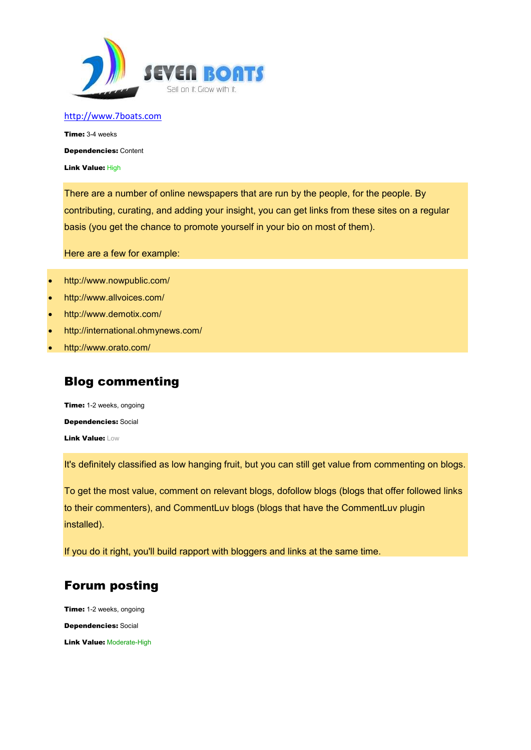

Time: 3-4 weeks Dependencies: Content

Link Value: High

There are a number of online newspapers that are run by the people, for the people. By contributing, curating, and adding your insight, you can get links from these sites on a regular basis (you get the chance to promote yourself in your bio on most of them).

Here are a few for example:

- http://www.nowpublic.com/
- http://www.allvoices.com/
- http://www.demotix.com/
- http://international.ohmynews.com/
- http://www.orato.com/

## Blog commenting

Time: 1-2 weeks, ongoing Dependencies: Social Link Value: Low

It's definitely classified as low hanging fruit, but you can still get value from commenting on blogs.

To get the most value, comment on relevant blogs, dofollow blogs (blogs that offer followed links to their commenters), and CommentLuv blogs (blogs that have the CommentLuv plugin installed).

If you do it right, you'll build rapport with bloggers and links at the same time.

# Forum posting

Time: 1-2 weeks, ongoing Dependencies: Social **Link Value: Moderate-High**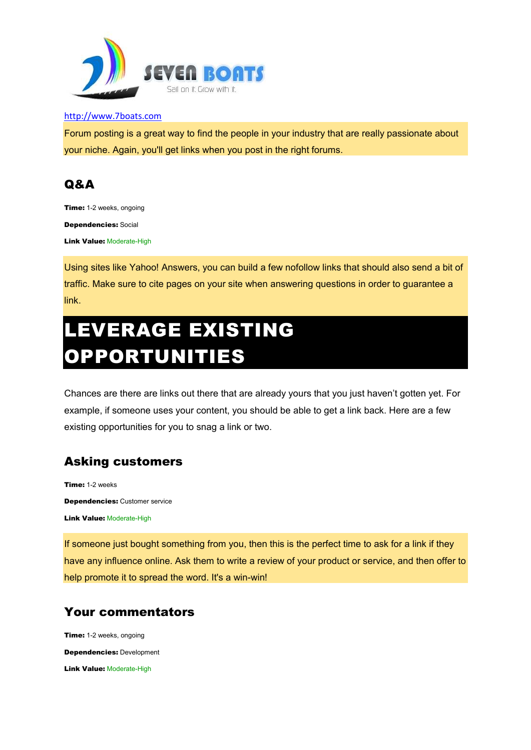

Forum posting is a great way to find the people in your industry that are really passionate about your niche. Again, you'll get links when you post in the right forums.

# Q&A

Time: 1-2 weeks, ongoing Dependencies: Social

Link Value: Moderate-High

Using sites like Yahoo! Answers, you can build a few nofollow links that should also send a bit of traffic. Make sure to cite pages on your site when answering questions in order to guarantee a **link** 

# LEVERAGE EXISTING OPPORTUNITIES

Chances are there are links out there that are already yours that you just haven't gotten yet. For example, if someone uses your content, you should be able to get a link back. Here are a few existing opportunities for you to snag a link or two.

# Asking customers

Time: 1-2 weeks Dependencies: Customer service **Link Value: Moderate-High** 

If someone just bought something from you, then this is the perfect time to ask for a link if they have any influence online. Ask them to write a review of your product or service, and then offer to help promote it to spread the word. It's a win-win!

# Your commentators

Time: 1-2 weeks, ongoing Dependencies: Development Link Value: Moderate-High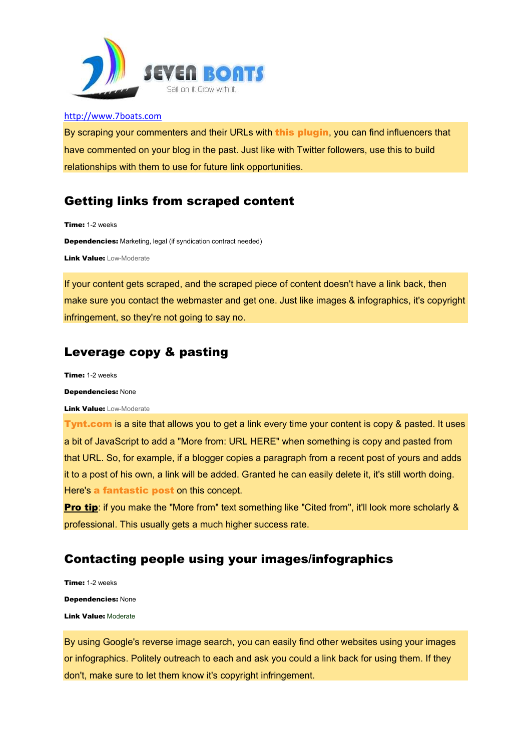

By scraping your commenters and their URLs with this plugin, you can find influencers that have commented on your blog in the past. Just like with Twitter followers, use this to build relationships with them to use for future link opportunities.

## Getting links from scraped content

Time: 1-2 weeks

Dependencies: Marketing, legal (if syndication contract needed)

**Link Value: Low-Moderate** 

If your content gets scraped, and the scraped piece of content doesn't have a link back, then make sure you contact the webmaster and get one. Just like images & infographics, it's copyright infringement, so they're not going to say no.

## Leverage copy & pasting

Time: 1-2 weeks

#### Dependencies: None

**Link Value: Low-Moderate** 

Tynt.com is a site that allows you to get a link every time your content is copy & pasted. It uses a bit of JavaScript to add a "More from: URL HERE" when something is copy and pasted from that URL. So, for example, if a blogger copies a paragraph from a recent post of yours and adds it to a post of his own, a link will be added. Granted he can easily delete it, it's still worth doing. Here's a fantastic post on this concept.

**Pro tip:** if you make the "More from" text something like "Cited from", it'll look more scholarly & professional. This usually gets a much higher success rate.

# Contacting people using your images/infographics

Time: 1-2 weeks Dependencies: None Link Value: Moderate

By using Google's reverse image search, you can easily find other websites using your images or infographics. Politely outreach to each and ask you could a link back for using them. If they don't, make sure to let them know it's copyright infringement.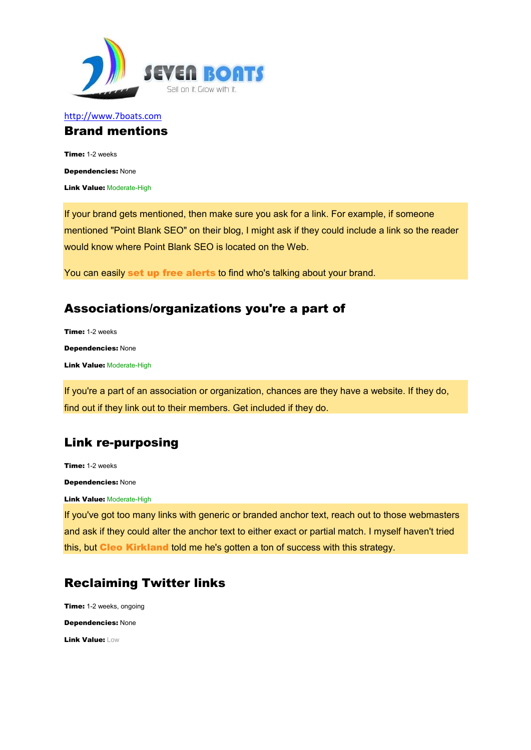

#### http://www.7boats.com Brand mentions

Time: 1-2 weeks Dependencies: None **Link Value: Moderate-High** 

If your brand gets mentioned, then make sure you ask for a link. For example, if someone mentioned "Point Blank SEO" on their blog, I might ask if they could include a link so the reader would know where Point Blank SEO is located on the Web.

You can easily set up free alerts to find who's talking about your brand.

# Associations/organizations you're a part of

Time: 1-2 weeks Dependencies: None Link Value: Moderate-High

If you're a part of an association or organization, chances are they have a website. If they do, find out if they link out to their members. Get included if they do.

## Link re-purposing

Time: 1-2 weeks Dependencies: None **Link Value: Moderate-High** 

If you've got too many links with generic or branded anchor text, reach out to those webmasters and ask if they could alter the anchor text to either exact or partial match. I myself haven't tried this, but Cleo Kirkland told me he's gotten a ton of success with this strategy.

# Reclaiming Twitter links

Time: 1-2 weeks, ongoing Dependencies: None Link Value: Low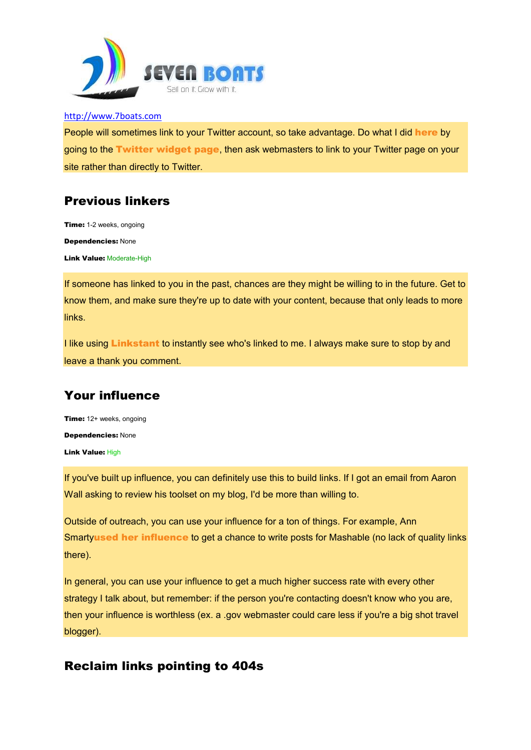

People will sometimes link to your Twitter account, so take advantage. Do what I did here by going to the Twitter widget page, then ask webmasters to link to your Twitter page on your site rather than directly to Twitter.

## Previous linkers

Time: 1-2 weeks, ongoing Dependencies: None **Link Value: Moderate-High** 

If someone has linked to you in the past, chances are they might be willing to in the future. Get to know them, and make sure they're up to date with your content, because that only leads to more links.

I like using **Linkstant** to instantly see who's linked to me. I always make sure to stop by and leave a thank you comment.

# Your influence

Time: 12+ weeks, ongoing Dependencies: None Link Value: High

If you've built up influence, you can definitely use this to build links. If I got an email from Aaron Wall asking to review his toolset on my blog, I'd be more than willing to.

Outside of outreach, you can use your influence for a ton of things. For example, Ann Smartyused her influence to get a chance to write posts for Mashable (no lack of quality links there).

In general, you can use your influence to get a much higher success rate with every other strategy I talk about, but remember: if the person you're contacting doesn't know who you are, then your influence is worthless (ex. a .gov webmaster could care less if you're a big shot travel blogger).

## Reclaim links pointing to 404s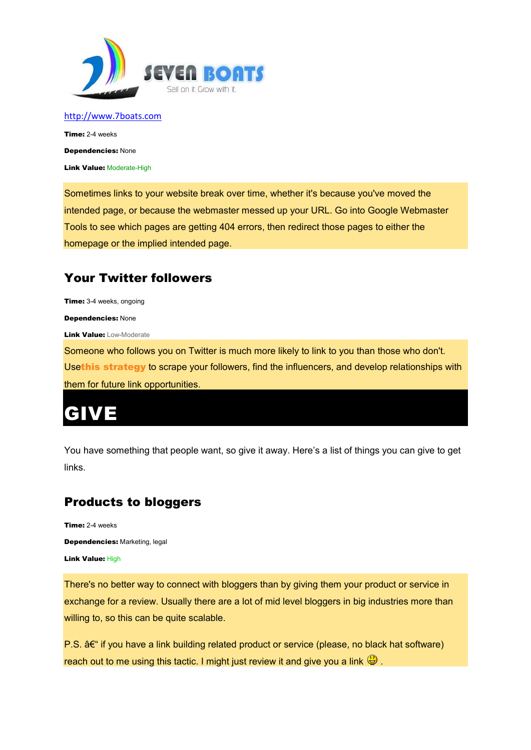

Time: 2-4 weeks Dependencies: None **Link Value: Moderate-High** 

Sometimes links to your website break over time, whether it's because you've moved the intended page, or because the webmaster messed up your URL. Go into Google Webmaster Tools to see which pages are getting 404 errors, then redirect those pages to either the homepage or the implied intended page.

# Your Twitter followers

Time: 3-4 weeks, ongoing

Dependencies: None

**Link Value: Low-Moderate** 

Someone who follows you on Twitter is much more likely to link to you than those who don't. Usethis strategy to scrape your followers, find the influencers, and develop relationships with them for future link opportunities.

# GIVE

You have something that people want, so give it away. Here's a list of things you can give to get links.

# Products to bloggers

Time: 2-4 weeks Dependencies: Marketing, legal Link Value: High

There's no better way to connect with bloggers than by giving them your product or service in exchange for a review. Usually there are a lot of mid level bloggers in big industries more than willing to, so this can be quite scalable.

 $P.S.$   $A \epsilon$ " if you have a link building related product or service (please, no black hat software) reach out to me using this tactic. I might just review it and give you a link  $\bigcirc$ .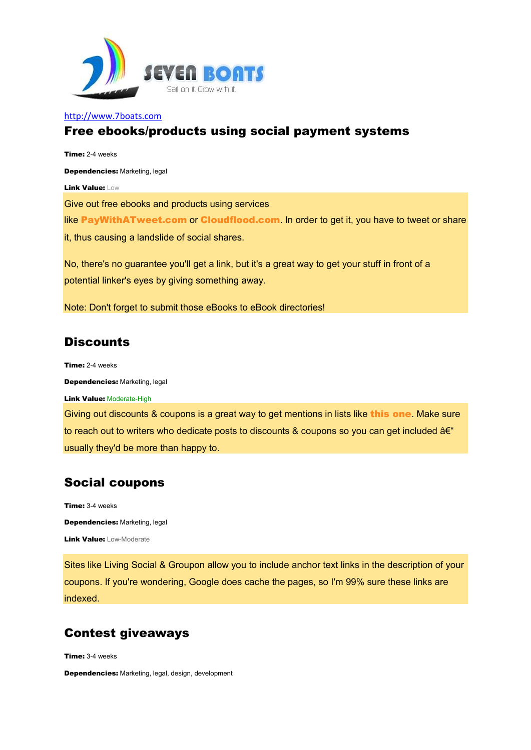

#### Free ebooks/products using social payment systems

Time: 2-4 weeks Dependencies: Marketing, legal Link Value: Low Give out free ebooks and products using services like PayWithATweet.com or Cloudflood.com. In order to get it, you have to tweet or share it, thus causing a landslide of social shares. No, there's no guarantee you'll get a link, but it's a great way to get your stuff in front of a potential linker's eyes by giving something away.

Note: Don't forget to submit those eBooks to eBook directories!

## **Discounts**

Time: 2-4 weeks

Dependencies: Marketing, legal

Link Value: Moderate-High

Giving out discounts & coupons is a great way to get mentions in lists like this one. Make sure to reach out to writers who dedicate posts to discounts & coupons so you can get included  $a \in \mathcal{C}$ usually they'd be more than happy to.

## Social coupons

Time: 3-4 weeks Dependencies: Marketing, legal Link Value: Low-Moderate

Sites like Living Social & Groupon allow you to include anchor text links in the description of your coupons. If you're wondering, Google does cache the pages, so I'm 99% sure these links are indexed.

# Contest giveaways

Time: 3-4 weeks

Dependencies: Marketing, legal, design, development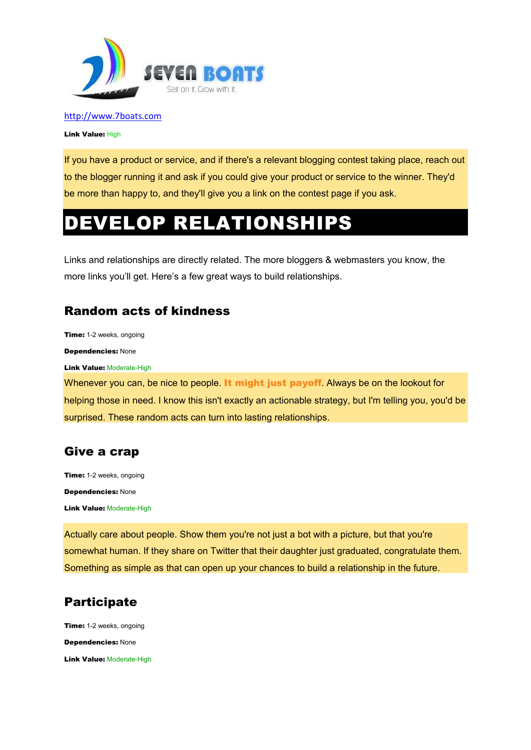

Link Value: High

If you have a product or service, and if there's a relevant blogging contest taking place, reach out to the blogger running it and ask if you could give your product or service to the winner. They'd be more than happy to, and they'll give you a link on the contest page if you ask.

# DEVELOP RELATIONSHIPS

Links and relationships are directly related. The more bloggers & webmasters you know, the more links you'll get. Here's a few great ways to build relationships.

# Random acts of kindness

Time: 1-2 weeks, ongoing

Dependencies: None

**Link Value: Moderate-High** 

Whenever you can, be nice to people. It might just payoff. Always be on the lookout for helping those in need. I know this isn't exactly an actionable strategy, but I'm telling you, you'd be surprised. These random acts can turn into lasting relationships.

## Give a crap

Time: 1-2 weeks, ongoing Dependencies: None **Link Value: Moderate-High** 

Actually care about people. Show them you're not just a bot with a picture, but that you're somewhat human. If they share on Twitter that their daughter just graduated, congratulate them. Something as simple as that can open up your chances to build a relationship in the future.

# **Participate**

**Time:** 1-2 weeks, ongoing Dependencies: None **Link Value: Moderate-High**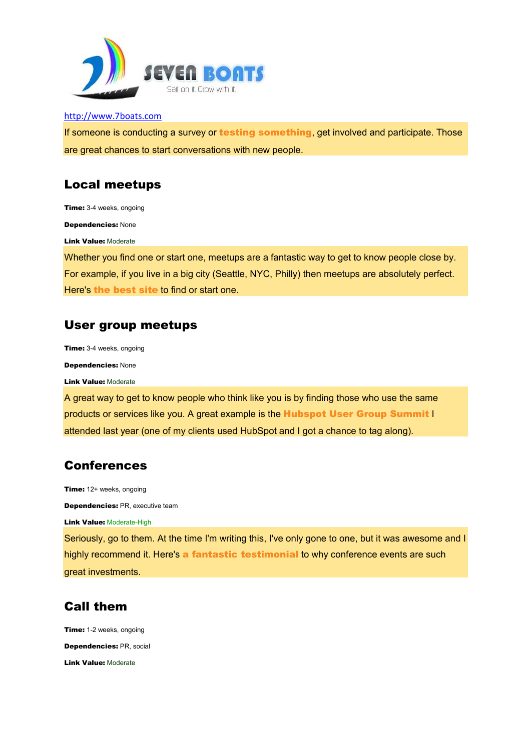

If someone is conducting a survey or **testing something**, get involved and participate. Those are great chances to start conversations with new people.

## Local meetups

Time: 3-4 weeks, ongoing

Dependencies: None

Link Value: Moderate

Whether you find one or start one, meetups are a fantastic way to get to know people close by. For example, if you live in a big city (Seattle, NYC, Philly) then meetups are absolutely perfect. Here's the best site to find or start one.

## User group meetups

Time: 3-4 weeks, ongoing

Dependencies: None

Link Value: Moderate

A great way to get to know people who think like you is by finding those who use the same products or services like you. A great example is the Hubspot User Group Summit I attended last year (one of my clients used HubSpot and I got a chance to tag along).

# Conferences

Time: 12+ weeks, ongoing Dependencies: PR, executive team

**Link Value: Moderate-High** 

Seriously, go to them. At the time I'm writing this, I've only gone to one, but it was awesome and I highly recommend it. Here's a fantastic testimonial to why conference events are such great investments.

# Call them

Time: 1-2 weeks, ongoing Dependencies: PR, social Link Value: Moderate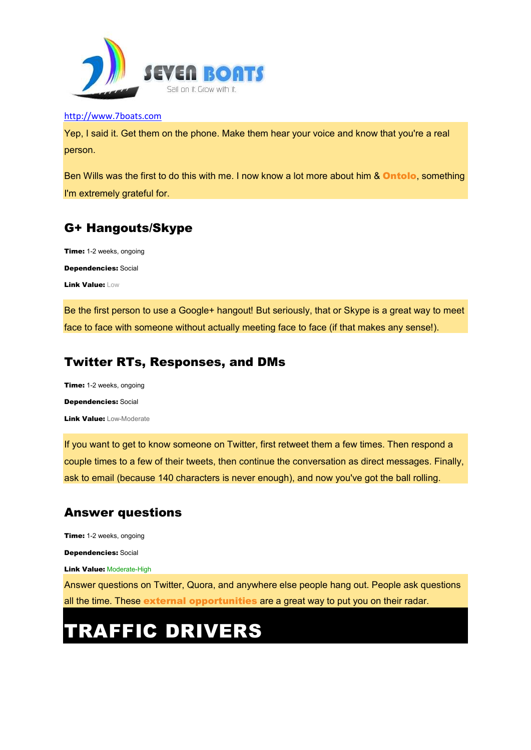

Yep, I said it. Get them on the phone. Make them hear your voice and know that you're a real person.

Ben Wills was the first to do this with me. I now know a lot more about him & Ontolo, something I'm extremely grateful for.

# G+ Hangouts/Skype

Time: 1-2 weeks, ongoing Dependencies: Social Link Value: Low

Be the first person to use a Google+ hangout! But seriously, that or Skype is a great way to meet face to face with someone without actually meeting face to face (if that makes any sense!).

# Twitter RTs, Responses, and DMs

Time: 1-2 weeks, ongoing Dependencies: Social Link Value: Low-Moderate

If you want to get to know someone on Twitter, first retweet them a few times. Then respond a couple times to a few of their tweets, then continue the conversation as direct messages. Finally, ask to email (because 140 characters is never enough), and now you've got the ball rolling.

# Answer questions

Time: 1-2 weeks, ongoing

Dependencies: Social

**Link Value: Moderate-High** 

Answer questions on Twitter, Quora, and anywhere else people hang out. People ask questions all the time. These external opportunities are a great way to put you on their radar.

# TRAFFIC DRIVERS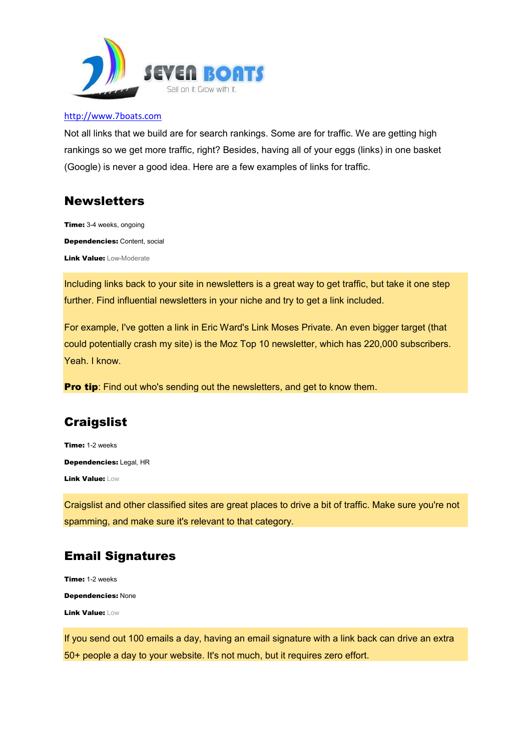

Not all links that we build are for search rankings. Some are for traffic. We are getting high rankings so we get more traffic, right? Besides, having all of your eggs (links) in one basket (Google) is never a good idea. Here are a few examples of links for traffic.

## **Newsletters**

Time: 3-4 weeks, ongoing Dependencies: Content, social **Link Value: Low-Moderate** 

Including links back to your site in newsletters is a great way to get traffic, but take it one step further. Find influential newsletters in your niche and try to get a link included.

For example, I've gotten a link in Eric Ward's Link Moses Private. An even bigger target (that could potentially crash my site) is the Moz Top 10 newsletter, which has 220,000 subscribers. Yeah. I know.

**Pro tip:** Find out who's sending out the newsletters, and get to know them.

# **Craigslist**

Time: 1-2 weeks Dependencies: Legal, HR Link Value: Low

Craigslist and other classified sites are great places to drive a bit of traffic. Make sure you're not spamming, and make sure it's relevant to that category.

# Email Signatures

Time: 1-2 weeks Dependencies: None Link Value: Low

If you send out 100 emails a day, having an email signature with a link back can drive an extra 50+ people a day to your website. It's not much, but it requires zero effort.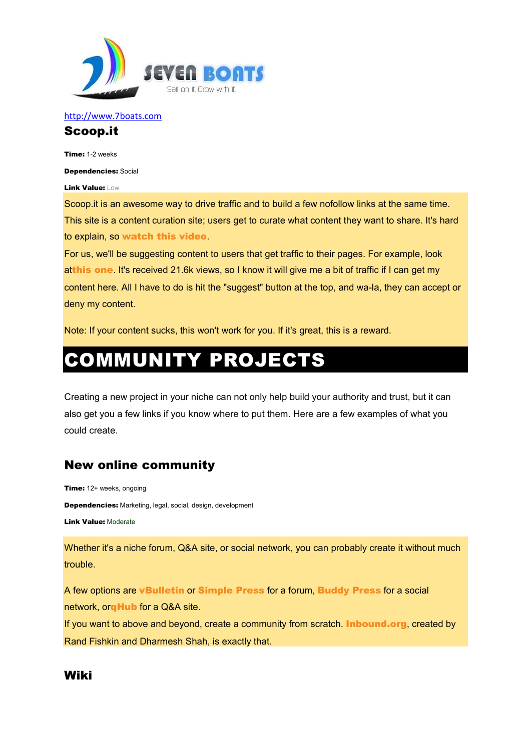

#### Scoop.it

Time: 1-2 weeks

Dependencies: Social

Link Value: Low

Scoop.it is an awesome way to drive traffic and to build a few nofollow links at the same time. This site is a content curation site; users get to curate what content they want to share. It's hard to explain, so watch this video.

For us, we'll be suggesting content to users that get traffic to their pages. For example, look atthis one. It's received 21.6k views, so I know it will give me a bit of traffic if I can get my content here. All I have to do is hit the "suggest" button at the top, and wa-la, they can accept or deny my content.

Note: If your content sucks, this won't work for you. If it's great, this is a reward.

# COMMUNITY PROJECTS

Creating a new project in your niche can not only help build your authority and trust, but it can also get you a few links if you know where to put them. Here are a few examples of what you could create.

# New online community

Time: 12+ weeks, ongoing Dependencies: Marketing, legal, social, design, development Link Value: Moderate

Whether it's a niche forum, Q&A site, or social network, you can probably create it without much trouble.

A few options are vBulletin or Simple Press for a forum, Buddy Press for a social network, or**qHub** for a Q&A site.

If you want to above and beyond, create a community from scratch. **Inbound.org**, created by Rand Fishkin and Dharmesh Shah, is exactly that.

# Wiki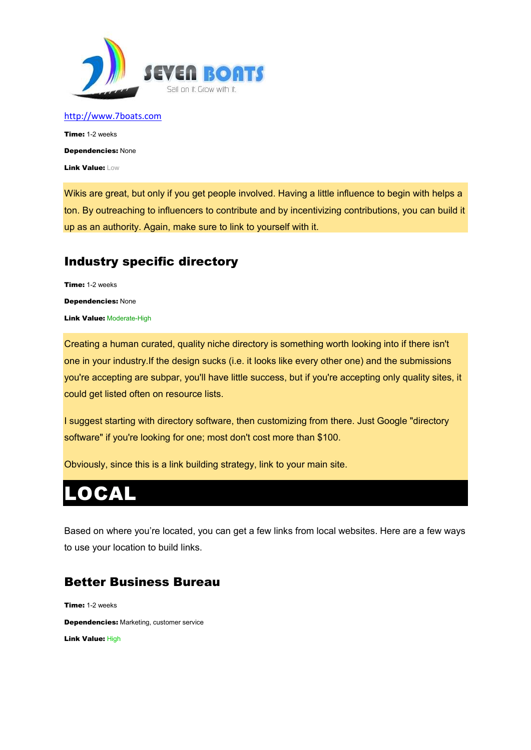

Time: 1-2 weeks Dependencies: None Link Value: Low

Wikis are great, but only if you get people involved. Having a little influence to begin with helps a ton. By outreaching to influencers to contribute and by incentivizing contributions, you can build it up as an authority. Again, make sure to link to yourself with it.

# Industry specific directory

Time: 1-2 weeks Dependencies: None **Link Value: Moderate-High** 

Creating a human curated, quality niche directory is something worth looking into if there isn't one in your industry.If the design sucks (i.e. it looks like every other one) and the submissions you're accepting are subpar, you'll have little success, but if you're accepting only quality sites, it could get listed often on resource lists.

I suggest starting with directory software, then customizing from there. Just Google "directory software" if you're looking for one; most don't cost more than \$100.

Obviously, since this is a link building strategy, link to your main site.

# LOCAL

Based on where you're located, you can get a few links from local websites. Here are a few ways to use your location to build links.

# Better Business Bureau

Time: 1-2 weeks Dependencies: Marketing, customer service Link Value: High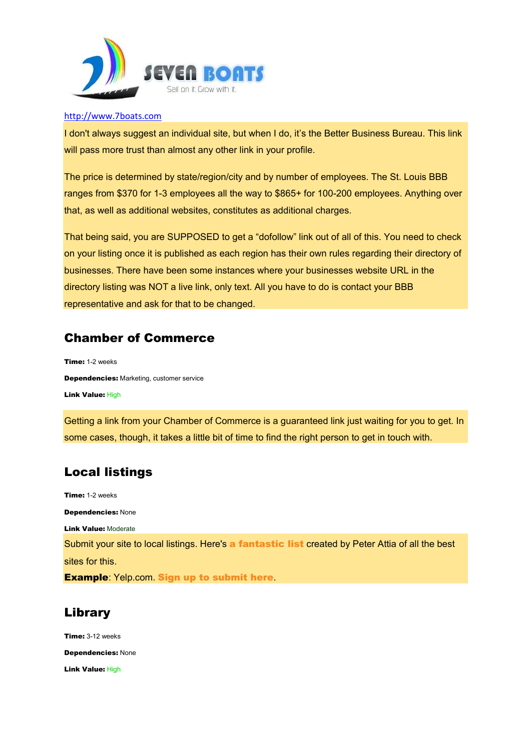

I don't always suggest an individual site, but when I do, it's the Better Business Bureau. This link will pass more trust than almost any other link in your profile.

The price is determined by state/region/city and by number of employees. The St. Louis BBB ranges from \$370 for 1-3 employees all the way to \$865+ for 100-200 employees. Anything over that, as well as additional websites, constitutes as additional charges.

That being said, you are SUPPOSED to get a "dofollow" link out of all of this. You need to check on your listing once it is published as each region has their own rules regarding their directory of businesses. There have been some instances where your businesses website URL in the directory listing was NOT a live link, only text. All you have to do is contact your BBB representative and ask for that to be changed.

# Chamber of Commerce

Time: 1-2 weeks Dependencies: Marketing, customer service Link Value: High

Getting a link from your Chamber of Commerce is a guaranteed link just waiting for you to get. In some cases, though, it takes a little bit of time to find the right person to get in touch with.

# Local listings

Time: 1-2 weeks Dependencies: None Link Value: Moderate Submit your site to local listings. Here's a fantastic list created by Peter Attia of all the best sites for this. Example: Yelp.com. Sign up to submit here.

# Library

Time: 3-12 weeks Dependencies: None Link Value: High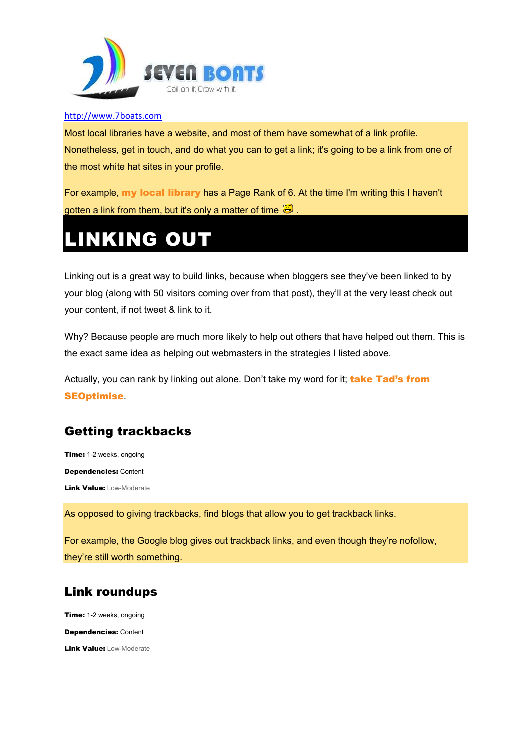

Most local libraries have a website, and most of them have somewhat of a link profile. Nonetheless, get in touch, and do what you can to get a link; it's going to be a link from one of the most white hat sites in your profile.

For example, my local library has a Page Rank of 6. At the time I'm writing this I haven't gotten a link from them, but it's only a matter of time  $\mathbf{C}$ 

# LINKING OUT

Linking out is a great way to build links, because when bloggers see they've been linked to by your blog (along with 50 visitors coming over from that post), they'll at the very least check out your content, if not tweet & link to it.

Why? Because people are much more likely to help out others that have helped out them. This is the exact same idea as helping out webmasters in the strategies I listed above.

Actually, you can rank by linking out alone. Don't take my word for it; take Tad's from SEOptimise.

# Getting trackbacks

Time: 1-2 weeks, ongoing Dependencies: Content Link Value: Low-Moderate

As opposed to giving trackbacks, find blogs that allow you to get trackback links.

For example, the Google blog gives out trackback links, and even though they're nofollow, they're still worth something.

# Link roundups

Time: 1-2 weeks, ongoing Dependencies: Content Link Value: Low-Moderate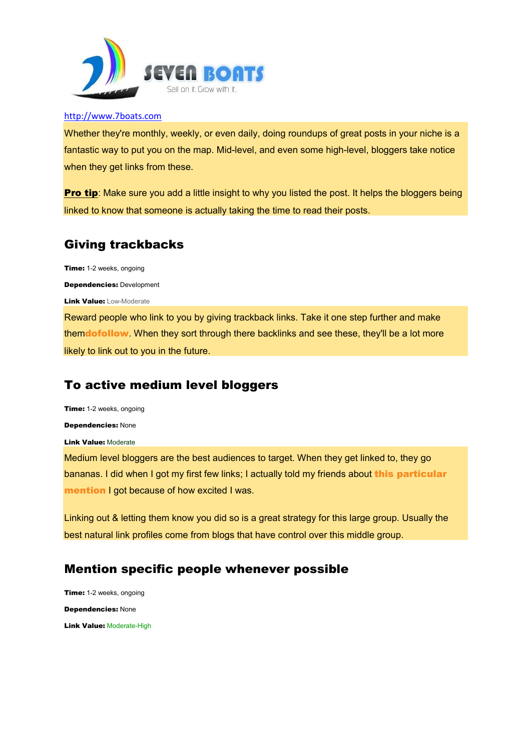

Whether they're monthly, weekly, or even daily, doing roundups of great posts in your niche is a fantastic way to put you on the map. Mid-level, and even some high-level, bloggers take notice when they get links from these.

**Pro tip:** Make sure you add a little insight to why you listed the post. It helps the bloggers being linked to know that someone is actually taking the time to read their posts.

# Giving trackbacks

Time: 1-2 weeks, ongoing

Dependencies: Development

Link Value: Low-Moderate

Reward people who link to you by giving trackback links. Take it one step further and make themdofollow. When they sort through there backlinks and see these, they'll be a lot more likely to link out to you in the future.

# To active medium level bloggers

Time: 1-2 weeks, ongoing

Dependencies: None

Link Value: Moderate

Medium level bloggers are the best audiences to target. When they get linked to, they go bananas. I did when I got my first few links; I actually told my friends about this particular mention I got because of how excited I was.

Linking out & letting them know you did so is a great strategy for this large group. Usually the best natural link profiles come from blogs that have control over this middle group.

# Mention specific people whenever possible

Time: 1-2 weeks, ongoing Dependencies: None Link Value: Moderate-High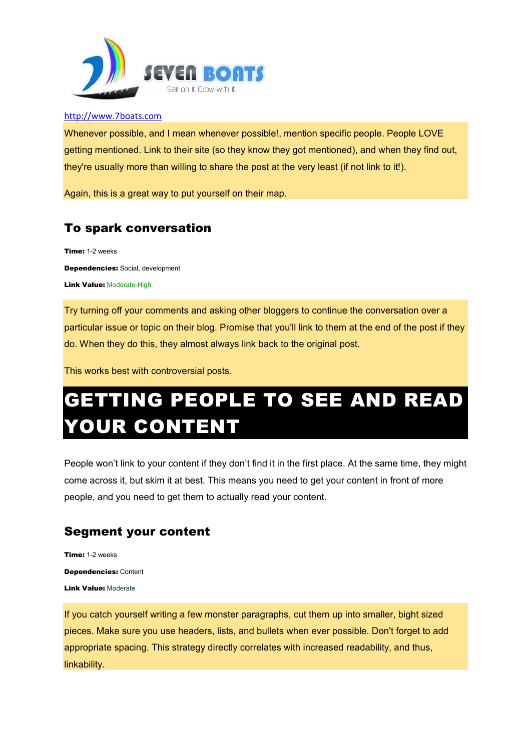

Whenever possible, and I mean whenever possible!, mention specific people. People LOVE getting mentioned. Link to their site (so they know they got mentioned), and when they find out, they're usually more than willing to share the post at the very least (if not link to it!).

Again, this is a great way to put yourself on their map.

# To spark conversation

Time: 1-2 weeks Dependencies: Social, development **Link Value: Moderate-High** 

Try turning off your comments and asking other bloggers to continue the conversation over a particular issue or topic on their blog. Promise that you'll link to them at the end of the post if they do. When they do this, they almost always link back to the original post.

This works best with controversial posts.

# GETTING PEOPLE TO SEE AND READ **OUR CONTENT**

People won't link to your content if they don't find it in the first place. At the same time, they might come across it, but skim it at best. This means you need to get your content in front of more people, and you need to get them to actually read your content.

# Segment your content

Time: 1-2 weeks Dependencies: Content Link Value: Moderate

If you catch yourself writing a few monster paragraphs, cut them up into smaller, bight sized pieces. Make sure you use headers, lists, and bullets when ever possible. Don't forget to add appropriate spacing. This strategy directly correlates with increased readability, and thus, linkability.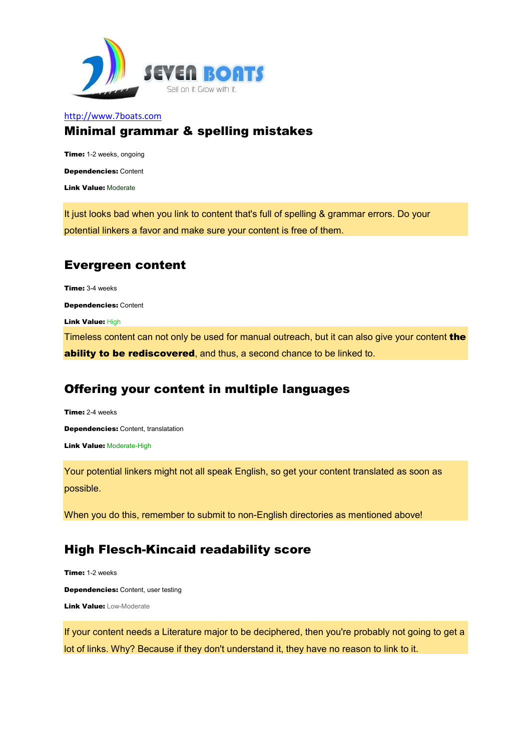

## Minimal grammar & spelling mistakes

Time: 1-2 weeks, ongoing Dependencies: Content Link Value: Moderate

It just looks bad when you link to content that's full of spelling & grammar errors. Do your potential linkers a favor and make sure your content is free of them.

# Evergreen content

Time: 3-4 weeks

Dependencies: Content

Link Value: High

Timeless content can not only be used for manual outreach, but it can also give your content the ability to be rediscovered, and thus, a second chance to be linked to.

# Offering your content in multiple languages

Time: 2-4 weeks Dependencies: Content, translatation **Link Value: Moderate-High** 

Your potential linkers might not all speak English, so get your content translated as soon as possible.

When you do this, remember to submit to non-English directories as mentioned above!

# High Flesch-Kincaid readability score

Time: 1-2 weeks Dependencies: Content, user testing **Link Value: Low-Moderate** 

If your content needs a Literature major to be deciphered, then you're probably not going to get a lot of links. Why? Because if they don't understand it, they have no reason to link to it.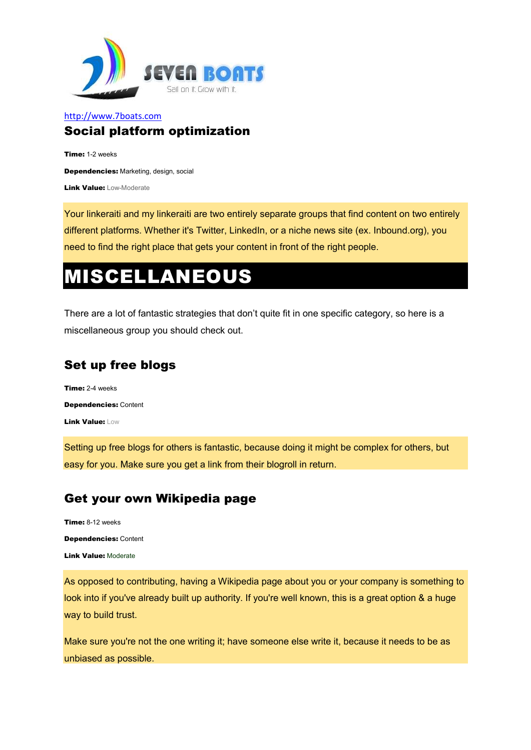

#### http://www.7boats.com Social platform optimization

Time: 1-2 weeks Dependencies: Marketing, design, social Link Value: Low-Moderate

Your linkeraiti and my linkeraiti are two entirely separate groups that find content on two entirely different platforms. Whether it's Twitter, LinkedIn, or a niche news site (ex. Inbound.org), you need to find the right place that gets your content in front of the right people.

# MISCELLANEOUS

There are a lot of fantastic strategies that don't quite fit in one specific category, so here is a miscellaneous group you should check out.

# Set up free blogs

Time: 2-4 weeks Dependencies: Content Link Value: Low

Setting up free blogs for others is fantastic, because doing it might be complex for others, but easy for you. Make sure you get a link from their blogroll in return.

# Get your own Wikipedia page

Time: 8-12 weeks Dependencies: Content Link Value: Moderate

As opposed to contributing, having a Wikipedia page about you or your company is something to look into if you've already built up authority. If you're well known, this is a great option & a huge way to build trust.

Make sure you're not the one writing it; have someone else write it, because it needs to be as unbiased as possible.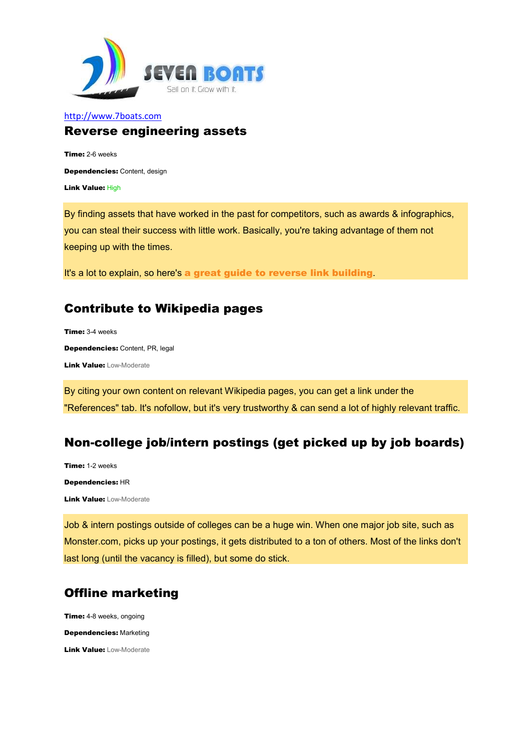

#### http://www.7boats.com Reverse engineering assets

Time: 2-6 weeks Dependencies: Content, design Link Value: High

By finding assets that have worked in the past for competitors, such as awards & infographics, you can steal their success with little work. Basically, you're taking advantage of them not keeping up with the times.

It's a lot to explain, so here's a great guide to reverse link building.

# Contribute to Wikipedia pages

Time: 3-4 weeks Dependencies: Content, PR, legal **Link Value: Low-Moderate** 

By citing your own content on relevant Wikipedia pages, you can get a link under the "References" tab. It's nofollow, but it's very trustworthy & can send a lot of highly relevant traffic.

# Non-college job/intern postings (get picked up by job boards)

Time: 1-2 weeks Dependencies: HR Link Value: Low-Moderate

Job & intern postings outside of colleges can be a huge win. When one major job site, such as Monster.com, picks up your postings, it gets distributed to a ton of others. Most of the links don't last long (until the vacancy is filled), but some do stick.

# Offline marketing

**Time:** 4-8 weeks, ongoing

Dependencies: Marketing

**Link Value: Low-Moderate**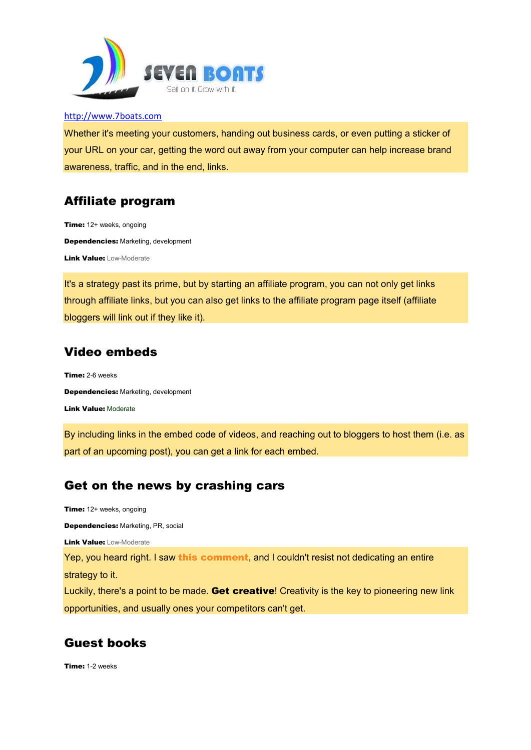

Whether it's meeting your customers, handing out business cards, or even putting a sticker of your URL on your car, getting the word out away from your computer can help increase brand awareness, traffic, and in the end, links.

## Affiliate program

Time: 12+ weeks, ongoing Dependencies: Marketing, development **Link Value: Low-Moderate** 

It's a strategy past its prime, but by starting an affiliate program, you can not only get links through affiliate links, but you can also get links to the affiliate program page itself (affiliate bloggers will link out if they like it).

## Video embeds

Time: 2-6 weeks Dependencies: Marketing, development Link Value: Moderate

By including links in the embed code of videos, and reaching out to bloggers to host them (i.e. as part of an upcoming post), you can get a link for each embed.

#### Get on the news by crashing cars

Time: 12+ weeks, ongoing

Dependencies: Marketing, PR, social

Link Value: Low-Moderate

Yep, you heard right. I saw this comment, and I couldn't resist not dedicating an entire strategy to it.

Luckily, there's a point to be made. Get creative! Creativity is the key to pioneering new link opportunities, and usually ones your competitors can't get.

# Guest books

Time: 1-2 weeks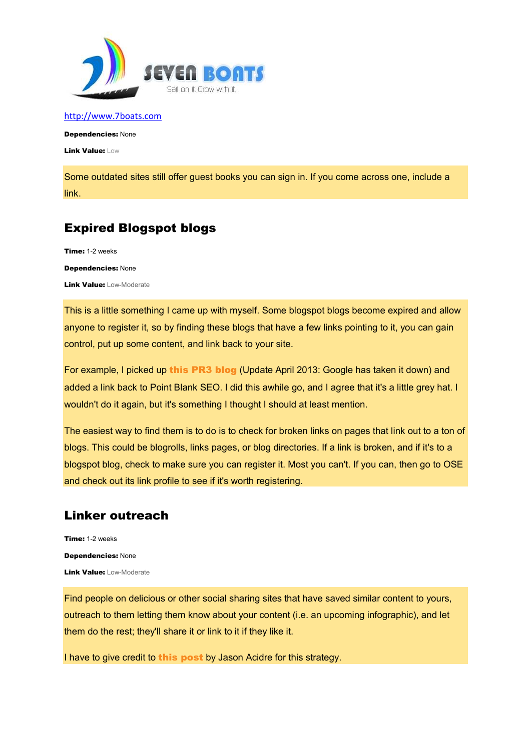

Dependencies: None

Link Value: Low

Some outdated sites still offer guest books you can sign in. If you come across one, include a link.

# Expired Blogspot blogs

Time: 1-2 weeks Dependencies: None Link Value: Low-Moderate

This is a little something I came up with myself. Some blogspot blogs become expired and allow anyone to register it, so by finding these blogs that have a few links pointing to it, you can gain control, put up some content, and link back to your site.

For example, I picked up this PR3 blog (Update April 2013: Google has taken it down) and added a link back to Point Blank SEO. I did this awhile go, and I agree that it's a little grey hat. I wouldn't do it again, but it's something I thought I should at least mention.

The easiest way to find them is to do is to check for broken links on pages that link out to a ton of blogs. This could be blogrolls, links pages, or blog directories. If a link is broken, and if it's to a blogspot blog, check to make sure you can register it. Most you can't. If you can, then go to OSE and check out its link profile to see if it's worth registering.

# Linker outreach

Time: 1-2 weeks Dependencies: None **Link Value: Low-Moderate** 

Find people on delicious or other social sharing sites that have saved similar content to yours, outreach to them letting them know about your content (i.e. an upcoming infographic), and let them do the rest; they'll share it or link to it if they like it.

I have to give credit to this post by Jason Acidre for this strategy.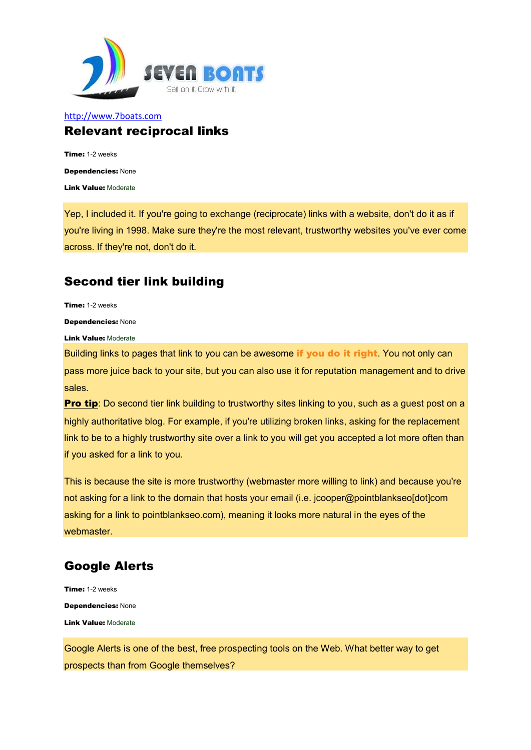

#### http://www.7boats.com Relevant reciprocal links

Time: 1-2 weeks Dependencies: None Link Value: Moderate

Yep, I included it. If you're going to exchange (reciprocate) links with a website, don't do it as if you're living in 1998. Make sure they're the most relevant, trustworthy websites you've ever come across. If they're not, don't do it.

# Second tier link building

Time: 1-2 weeks

Dependencies: None

Link Value: Moderate

Building links to pages that link to you can be awesome if you do it right. You not only can pass more juice back to your site, but you can also use it for reputation management and to drive sales.

Pro tip: Do second tier link building to trustworthy sites linking to you, such as a guest post on a highly authoritative blog. For example, if you're utilizing broken links, asking for the replacement link to be to a highly trustworthy site over a link to you will get you accepted a lot more often than if you asked for a link to you.

This is because the site is more trustworthy (webmaster more willing to link) and because you're not asking for a link to the domain that hosts your email (i.e. jcooper@pointblankseo[dot]com asking for a link to pointblankseo.com), meaning it looks more natural in the eyes of the webmaster.

# Google Alerts

Time: 1-2 weeks Dependencies: None Link Value: Moderate

Google Alerts is one of the best, free prospecting tools on the Web. What better way to get prospects than from Google themselves?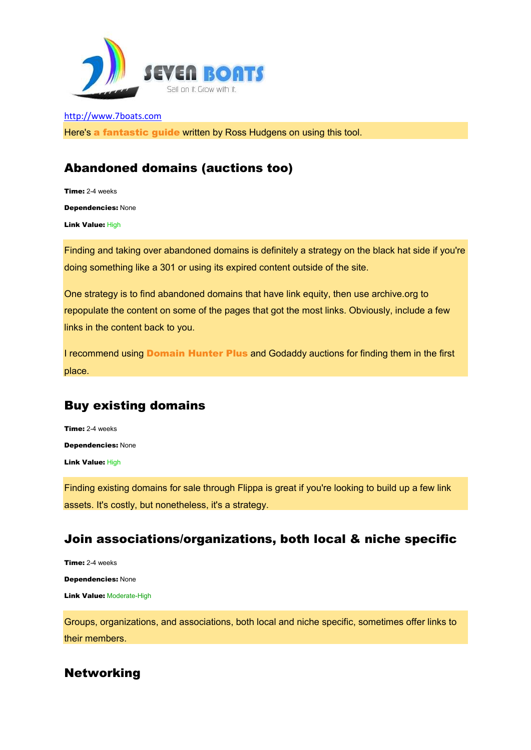

Here's a fantastic guide written by Ross Hudgens on using this tool.

# Abandoned domains (auctions too)

Time: 2-4 weeks Dependencies: None Link Value: High

Finding and taking over abandoned domains is definitely a strategy on the black hat side if you're doing something like a 301 or using its expired content outside of the site.

One strategy is to find abandoned domains that have link equity, then use archive.org to repopulate the content on some of the pages that got the most links. Obviously, include a few links in the content back to you.

I recommend using Domain Hunter Plus and Godaddy auctions for finding them in the first place.

# Buy existing domains

Time: 2-4 weeks Dependencies: None Link Value: High

Finding existing domains for sale through Flippa is great if you're looking to build up a few link assets. It's costly, but nonetheless, it's a strategy.

## Join associations/organizations, both local & niche specific

Time: 2-4 weeks Dependencies: None **Link Value: Moderate-High** 

Groups, organizations, and associations, both local and niche specific, sometimes offer links to their members.

# Networking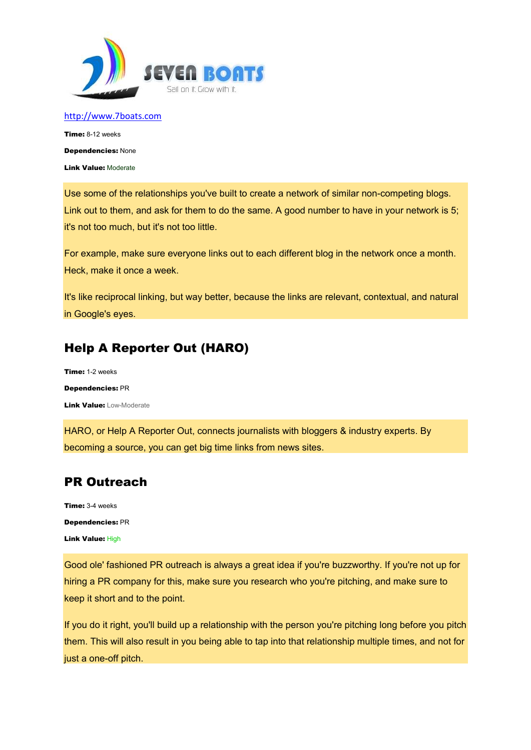

Time: 8-12 weeks Dependencies: None Link Value: Moderate

Use some of the relationships you've built to create a network of similar non-competing blogs. Link out to them, and ask for them to do the same. A good number to have in your network is 5; it's not too much, but it's not too little.

For example, make sure everyone links out to each different blog in the network once a month. Heck, make it once a week.

It's like reciprocal linking, but way better, because the links are relevant, contextual, and natural in Google's eyes.

# Help A Reporter Out (HARO)

Time: 1-2 weeks Dependencies: PR Link Value: Low-Moderate

HARO, or Help A Reporter Out, connects journalists with bloggers & industry experts. By becoming a source, you can get big time links from news sites.

# PR Outreach

Time: 3-4 weeks Dependencies: PR Link Value: High

Good ole' fashioned PR outreach is always a great idea if you're buzzworthy. If you're not up for hiring a PR company for this, make sure you research who you're pitching, and make sure to keep it short and to the point.

If you do it right, you'll build up a relationship with the person you're pitching long before you pitch them. This will also result in you being able to tap into that relationship multiple times, and not for just a one-off pitch.